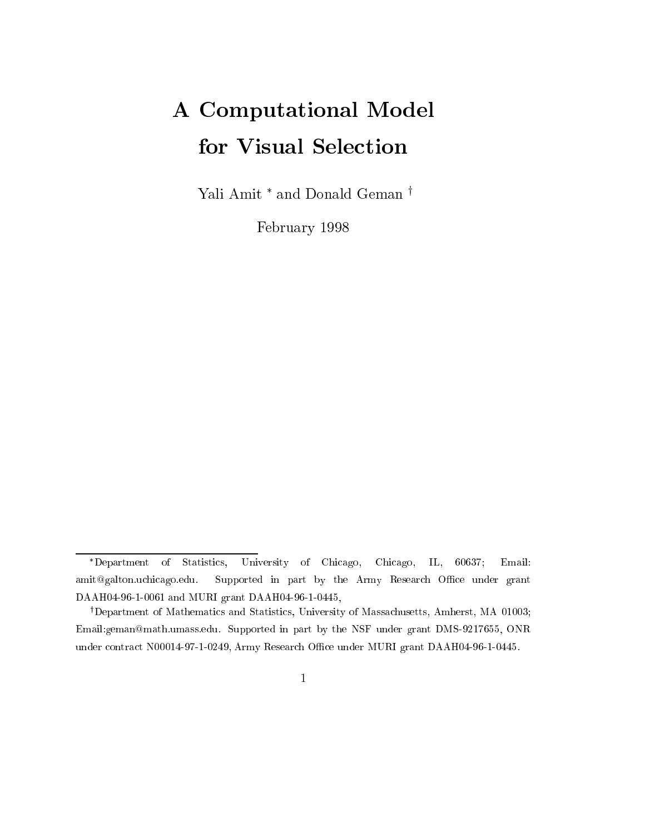# A Computational Model for Visual Selection

Yali Amit \* and Donald Geman <sup>⊺</sup>

February 1998

Department of Statistics, University of Chicago, Chicago, IL, 60637; Email: amit@galton.uchicago.edu. Supported in part by the Army Research Office under grant DAAH04-96-1-0061 and MURI grant DAAH04-96-1-0445,

<sup>&</sup>lt;sup>†</sup>Department of Mathematics and Statistics, University of Massachusetts, Amherst, MA 01003; Email:geman@math.umass.edu. Supported in part by the NSF under grant DMS-9217655, ONR under contract N00014-97-1-0249, Army Research Office under MURI grant DAAH04-96-1-0445.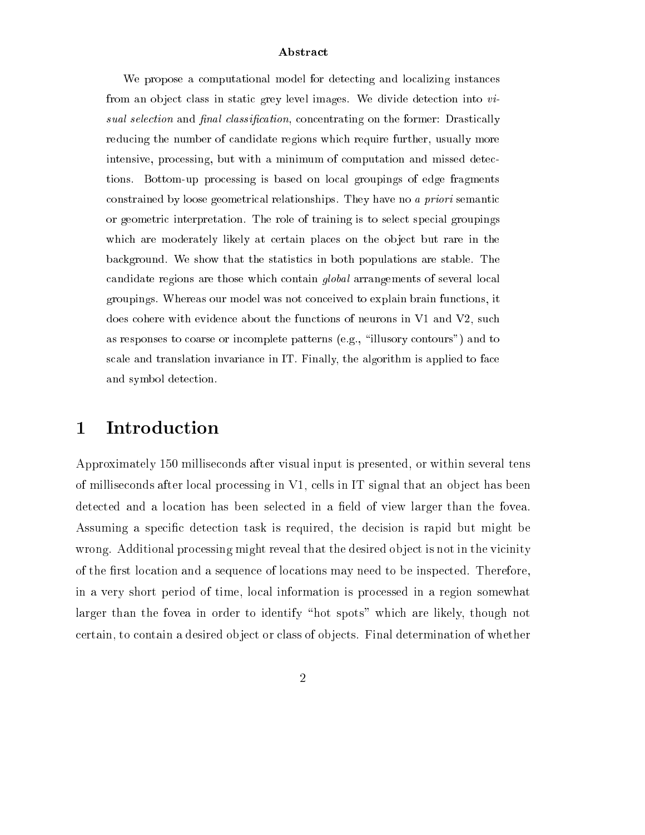#### Abstract

We propose a computational model for detecting and localizing instances from an object class in static grey level images. We divide detection into  $vi$ sum coloration more prime classification, concentrating on the former design  $\mu$ reducing the number of candidate regions which require further, usually more intensive, processing, but with a minimum of computation and missed detections. Bottom-up processing is based on local groupings of edge fragments constrained by loose geometrical relationships. They have no <sup>a</sup> priori semantic or geometric interpretation. The role of training is to select special groupings which are moderately likely at certain places on the object but rare in the background. We show that the statistics in both populations are stable. The candidate regions are those which contain global arrangements of several local groupings. Whereas our model was not conceived to explain brain functions, it does cohere with evidence about the functions of neurons in V1 and V2, such as responses to coarse or incomplete patterns (e.g., \illusory contours") and to scale and translation invariance in IT. Finally, the algorithm is applied to face and symbol detection.

### 1 Introduction

Approximately 150 milliseconds after visual input is presented, or within several tens of milliseconds after local processing in  $V1$ , cells in IT signal that an object has been detected and a location has been selected in a field of view larger than the fovea. Assuming a specic detection task is required, the decision is rapid but might be wrong. Additional processing might reveal that the desired object is not in the vicinity of the first location and a sequence of locations may need to be inspected. Therefore, in a very short period of time, local information is processed in a region somewhat larger than the fovea in order to identify "hot spots" which are likely, though not certain, to contain a desired ob ject or class of ob jects. Final determination of whether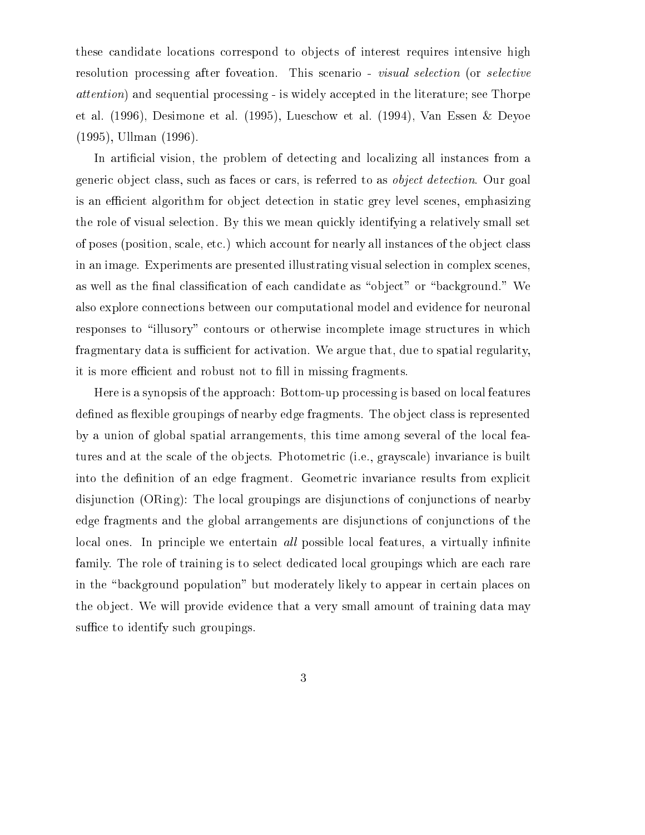these candidate locations correspond to objects of interest requires intensive high resolution processing after foveation. This scenario - visual selection (or selective attention) and sequential processing - is widely accepted in the literature; see Thorpe et al. (1996), Desimone et al. (1995), Lueschow et al. (1994), Van Essen & Deyoe (1995), Ullman (1996).

In articial vision, the problem of detecting and localizing all instances from a generic ob ject class, such as faces or cars, is referred to as object detection. Our goal is an efficient algorithm for object detection in static grey level scenes, emphasizing the role of visual selection. By this we mean quickly identifying a relatively small set of poses (position, scale, etc.) which account for nearly all instances of the ob ject class in an image. Experiments are presented illustrating visual selection in complex scenes, as well as the final classification of each candidate as "object" or "background." We also explore connections between our computational model and evidence for neuronal responses to "illusory" contours or otherwise incomplete image structures in which fragmentary data is sufficient for activation. We argue that, due to spatial regularity, it is more efficient and robust not to fill in missing fragments.

Here is a synopsis of the approach: Bottom-up processing is based on local features defined as flexible groupings of nearby edge fragments. The object class is represented by a union of global spatial arrangements, this time among several of the local features and at the scale of the objects. Photometric (i.e., grayscale) invariance is built into the definition of an edge fragment. Geometric invariance results from explicit disjunction (ORing): The local groupings are disjunctions of conjunctions of nearby edge fragments and the global arrangements are disjunctions of conjunctions of the local ones. In principle we entertain all possible local features, a virtually infinite family. The role of training is to select dedicated local groupings which are each rare in the "background population" but moderately likely to appear in certain places on the object. We will provide evidence that a very small amount of training data may suffice to identify such groupings.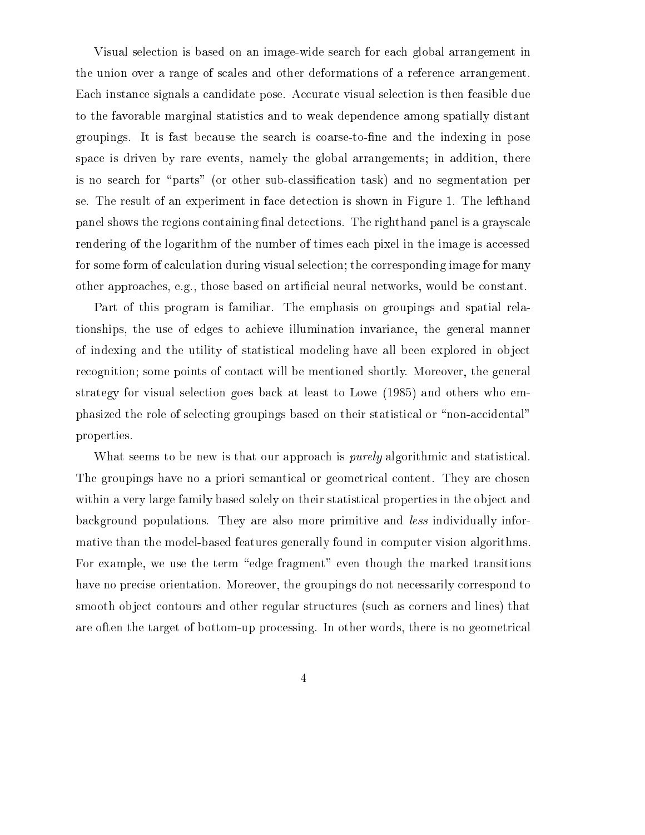Visual selection is based on an image-wide search for each global arrangement in the union over a range of scales and other deformations of a reference arrangement. Each instance signals a candidate pose. Accurate visual selection is then feasible due to the favorable marginal statistics and to weak dependence among spatially distant groupings. It is fast because the search is coarse-to-ne and the indexing in pose space is driven by rare events, namely the global arrangements; in addition, there is no search for "parts" (or other sub-classification task) and no segmentation per se. The result of an experiment in face detection is shown in Figure 1. The lefthand panel shows the regions containing final detections. The righthand panel is a grayscale rendering of the logarithm of the number of times each pixel in the image is accessed for some form of calculation during visual selection; the corresponding image for many other approaches, e.g., those based on articial neural networks, would be constant.

Part of this program is familiar. The emphasis on groupings and spatial relationships, the use of edges to achieve illumination invariance, the general manner of indexing and the utility of statistical modeling have all been explored in object recognition; some points of contact will be mentioned shortly. Moreover, the general strategy for visual selection goes back at least to Lowe (1985) and others who emphasized the role of selecting groupings based on their statistical or \non-accidental" properties.

What seems to be new is that our approach is *purely* algorithmic and statistical. The groupings have no a priori semantical or geometrical content. They are chosen within a very large family based solely on their statistical properties in the object and background populations. They are also more primitive and less individually informative than the model-based features generally found in computer vision algorithms. For example, we use the term "edge fragment" even though the marked transitions have no precise orientation. Moreover, the groupings do not necessarily correspond to smooth object contours and other regular structures (such as corners and lines) that are often the target of bottom-up processing. In other words, there is no geometrical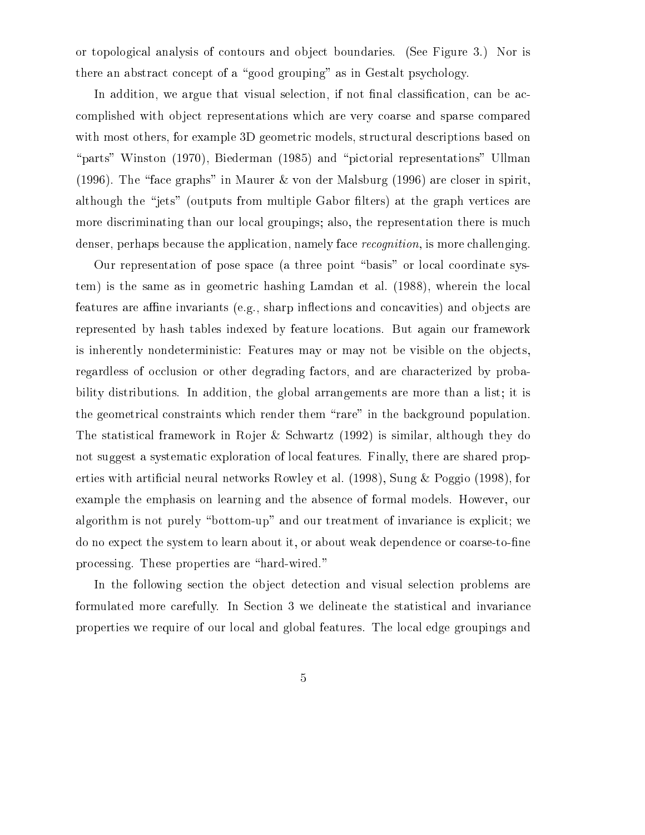or topological analysis of contours and object boundaries. (See Figure 3.) Nor is there an abstract concept of a "good grouping" as in Gestalt psychology.

In addition, we argue that visual selection, if not final classification, can be accomplished with ob ject representations which are very coarse and sparse compared with most others, for example 3D geometric models, structural descriptions based on "parts" Winston (1970), Biederman (1985) and "pictorial representations" Ullman (1996). The "face graphs" in Maurer & von der Malsburg (1996) are closer in spirit, although the "jets" (outputs from multiple Gabor filters) at the graph vertices are more discriminating than our local groupings; also, the representation there is much denser, perhaps because the application, namely face *recognition*, is more challenging.

Our representation of pose space (a three point \basis" or local coordinate system) is the same as in geometric hashing Lamdan et al. (1988), wherein the local features are affine invariants (e.g., sharp inflections and concavities) and objects are represented by hash tables indexed by feature locations. But again our framework is inherently nondeterministic: Features may or may not be visible on the objects, regardless of occlusion or other degrading factors, and are characterized by probability distributions. In addition, the global arrangements are more than a list; it is the geometrical constraints which render them "rare" in the background population. The statistical framework in Rojer & Schwartz (1992) is similar, although they do not suggest a systematic exploration of local features. Finally, there are shared properties with articial neural networks Rowley et al. (1998), Sung & Poggio (1998), for example the emphasis on learning and the absence of formal models. However, our algorithm is not purely "bottom-up" and our treatment of invariance is explicit; we do no expect the system to learn about it, or about weak dependence or coarse-to-fine processing. These properties are "hard-wired."

In the following section the object detection and visual selection problems are formulated more carefully. In Section 3 we delineate the statistical and invariance properties we require of our local and global features. The local edge groupings and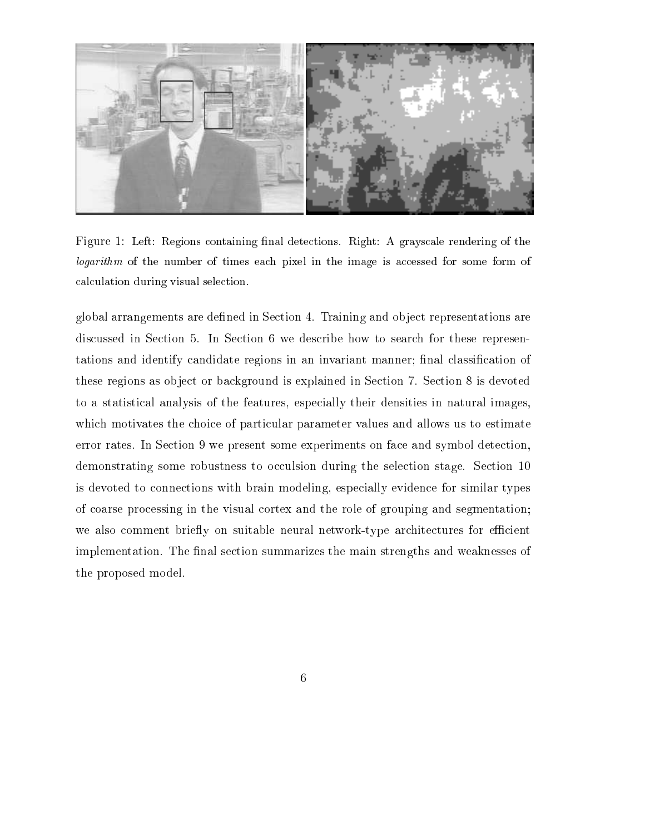

Figure 1: Left: Regions containing final detections. Right: A grayscale rendering of the logarithm of the number of times each pixel in the image is accessed for some form of calculation during visual selection.

global arrangements are defined in Section 4. Training and object representations are discussed in Section 5. In Section 6 we describe how to search for these representations and identify candidate regions in an invariant manner; final classification of these regions as object or background is explained in Section 7. Section 8 is devoted to a statistical analysis of the features, especially their densities in natural images, which motivates the choice of particular parameter values and allows us to estimate error rates. In Section 9 we present some experiments on face and symbol detection, demonstrating some robustness to occulsion during the selection stage. Section 10 is devoted to connections with brain modeling, especially evidence for similar types of coarse processing in the visual cortex and the role of grouping and segmentation; we also comment briefly on suitable neural network-type architectures for efficient implementation. The final section summarizes the main strengths and weaknesses of the proposed model.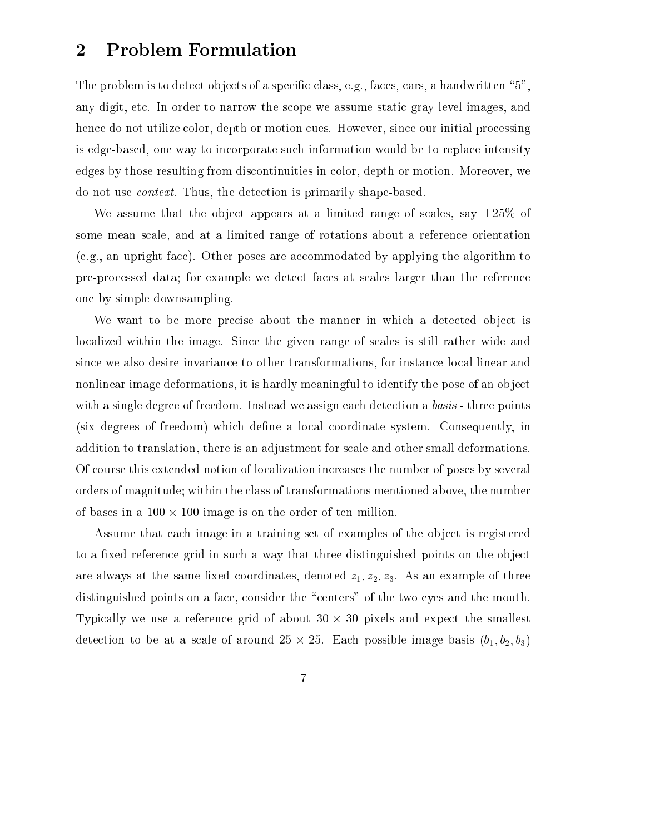### 2 Problem Formulation

The problem is to detect objects of a specific class, e.g., faces, cars, a handwritten "5", any digit, etc. In order to narrow the scope we assume static gray level images, and hence do not utilize color, depth or motion cues. However, since our initial processing is edge-based, one way to incorporate such information would be to replace intensity edges by those resulting from discontinuities in color, depth or motion. Moreover, we do not use context. Thus, the detection is primarily shape-based.

We assume that the object appears at a limited range of scales, say  $\pm 25\%$  of some mean scale, and at a limited range of rotations about a reference orientation (e.g., an upright face). Other poses are accommodated by applying the algorithm to pre-processed data; for example we detect faces at scales larger than the reference one by simple downsampling.

We want to be more precise about the manner in which a detected object is localized within the image. Since the given range of scales is still rather wide and since we also desire invariance to other transformations, for instance local linear and nonlinear image deformations, it is hardly meaningful to identify the pose of an object with a single degree of freedom. Instead we assign each detection a *basis* - three points (six degrees of freedom) which define a local coordinate system. Consequently, in addition to translation, there is an adjustment for scale and other small deformations. Of course this extended notion of localization increases the number of poses by several orders of magnitude; within the class of transformations mentioned above, the number of bases in a 100  $\mu$  bases in a 100  $\mu$ 

Assume that each image in a training set of examples of the object is registered to a fixed reference grid in such a way that three distinguished points on the object are always at the same fixed coordinates, denoted  $z_1, z_2, z_3$ . As an example of three distinguished points on a face, consider the "centers" of the two eyes and the mouth. Typically we use a reference grid of about 30 - 30 pixels and expect the smallest detection to be at a scale of around 25 - 25. Each possible image basis (b1; b2; b3);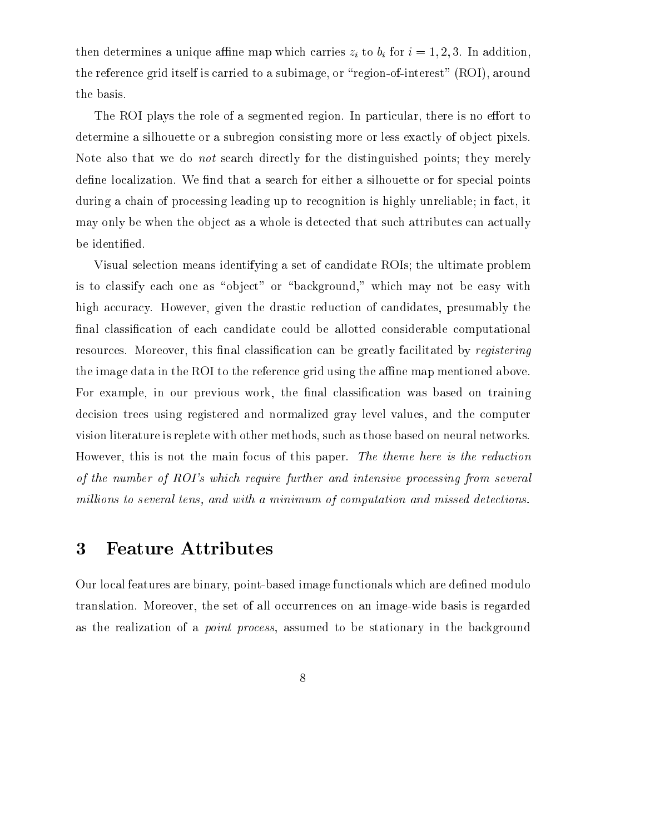the determines a unique and map which carries  $\mathbb{P}^1$  to bit for in addition,  $\mathbb{P}^1$  in a significant carries  $\mathbb{P}^1$ the reference grid itself is carried to a subimage, or "region-of-interest" (ROI), around the basis.

The ROI plays the role of a segmented region. In particular, there is no effort to determine a silhouette or a subregion consisting more or less exactly of object pixels. Note also that we do not search directly for the distinguished points; they merely define localization. We find that a search for either a silhouette or for special points during a chain of processing leading up to recognition is highly unreliable; in fact, it may only be when the object as a whole is detected that such attributes can actually be identied.

Visual selection means identifying a set of candidate ROIs; the ultimate problem is to classify each one as "object" or "background," which may not be easy with high accuracy. However, given the drastic reduction of candidates, presumably the final classification of each candidate could be allotted considerable computational resources. Moreover, this final classification can be greatly facilitated by registering the image data in the ROI to the reference grid using the affine map mentioned above. For example, in our previous work, the final classification was based on training decision trees using registered and normalized gray level values, and the computer vision literature is replete with other methods, such as those based on neural networks. However, this is not the main focus of this paper. The theme here is the reduction of the number of ROI's which require further and intensive processing from several millions to several tens, and with a minimum of computation and missed detections.

### 3 Feature Attributes

Our local features are binary, point-based image functionals which are defined modulo translation. Moreover, the set of all occurrences on an image-wide basis is regarded as the realization of a point process, assumed to be stationary in the background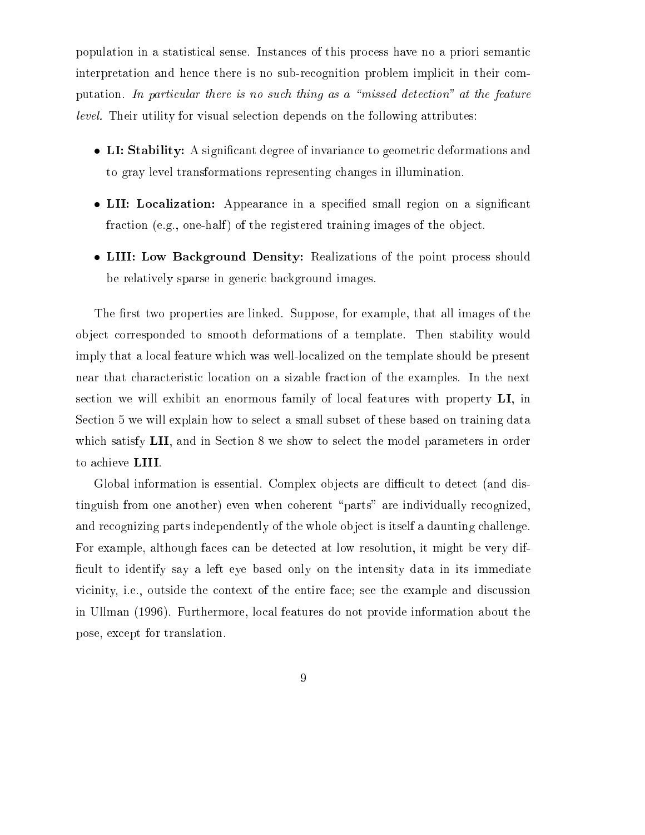population in a statistical sense. Instances of this process have no a priori semantic interpretation and hence there is no sub-recognition problem implicit in their computation. In particular there is no such thing as a "missed detection" at the feature level. Their utility for visual selection depends on the following attributes:

- LI: Stability: A significant degree of invariance to geometric deformations and to gray level transformations representing changes in illumination.
- LII: Localization: Appearance in a specified small region on a significant fraction (e.g., one-half) of the registered training images of the object.
- LIII: Low Background Density: Realizations of the point process should be relatively sparse in generic background images.

The first two properties are linked. Suppose, for example, that all images of the ob ject corresponded to smooth deformations of a template. Then stability would imply that a local feature which was well-localized on the template should be present near that characteristic location on a sizable fraction of the examples. In the next section we will exhibit an enormous family of local features with property LI, in Section 5 we will explain how to select a small subset of these based on training data which satisfy LII, and in Section 8 we show to select the model parameters in order to achieve LIII.

Global information is essential. Complex objects are difficult to detect (and distinguish from one another) even when coherent \parts" are individually recognized, and recognizing parts independently of the whole object is itself a daunting challenge. For example, although faces can be detected at low resolution, it might be very dif ficult to identify say a left eye based only on the intensity data in its immediate vicinity, i.e., outside the context of the entire face; see the example and discussion in Ullman (1996). Furthermore, local features do not provide information about the pose, except for translation.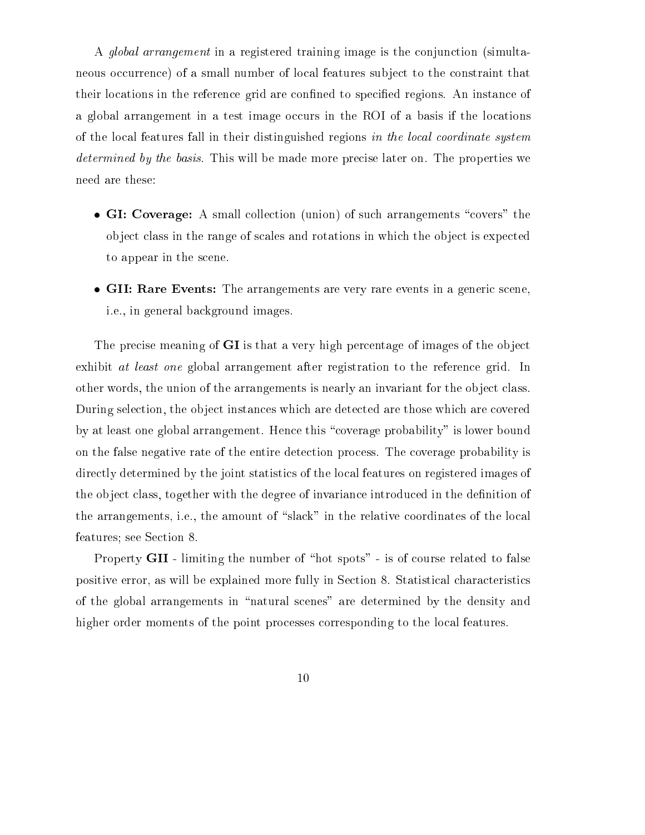A global arrangement in a registered training image is the conjunction (simultaneous occurrence) of a small number of local features subject to the constraint that their locations in the reference grid are confined to specified regions. An instance of a global arrangement in a test image occurs in the ROI of a basis if the locations of the local features fall in their distinguished regions in the local coordinate system determined by the basis. This will be made more precise later on. The properties we need are these:

- GI: Coverage: A small collection (union) of such arrangements "covers" the object class in the range of scales and rotations in which the object is expected to appear in the scene.
- GII: Rare Events: The arrangements are very rare events in a generic scene, i.e., in general background images.

The precise meaning of GI is that a very high percentage of images of the object exhibit *at least one* global arrangement after registration to the reference grid. In other words, the union of the arrangements is nearly an invariant for the object class. During selection, the object instances which are detected are those which are covered by at least one global arrangement. Hence this "coverage probability" is lower bound on the false negative rate of the entire detection process. The coverage probability is directly determined by the joint statistics of the local features on registered images of the object class, together with the degree of invariance introduced in the definition of the arrangements, i.e., the amount of "slack" in the relative coordinates of the local features; see Section 8.

Property **GII** - limiting the number of "hot spots" - is of course related to false positive error, as will be explained more fully in Section 8. Statistical characteristics of the global arrangements in \natural scenes" are determined by the density and higher order moments of the point processes corresponding to the local features.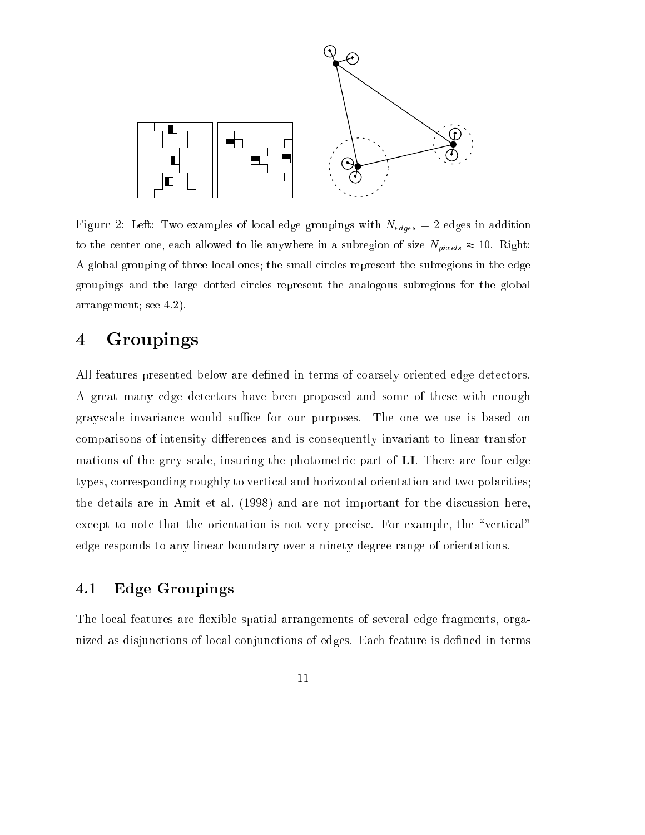

Figure 2: Left: Two examples of local edge groupings with Nedges <sup>=</sup> <sup>2</sup> edges in addition to the center one, each allowed to lie anywhere in a subregion of size Npixels 10. Right: A global grouping of three local ones; the small circles represent the subregions in the edge groupings and the large dotted circles represent the analogous subregions for the global arrangement; see 4.2).

### 4 Groupings

All features presented below are defined in terms of coarsely oriented edge detectors. A great many edge detectors have been proposed and some of these with enough grayscale invariance would suffice for our purposes. The one we use is based on comparisons of intensity differences and is consequently invariant to linear transformations of the grey scale, insuring the photometric part of LI. There are four edge types, corresponding roughly to vertical and horizontal orientation and two polarities; the details are in Amit et al. (1998) and are not important for the discussion here, except to note that the orientation is not very precise. For example, the "vertical" edge responds to any linear boundary over a ninety degree range of orientations.

### 4.1 Edge Groupings

The local features are flexible spatial arrangements of several edge fragments, organized as disjunctions of local conjunctions of edges. Each feature is defined in terms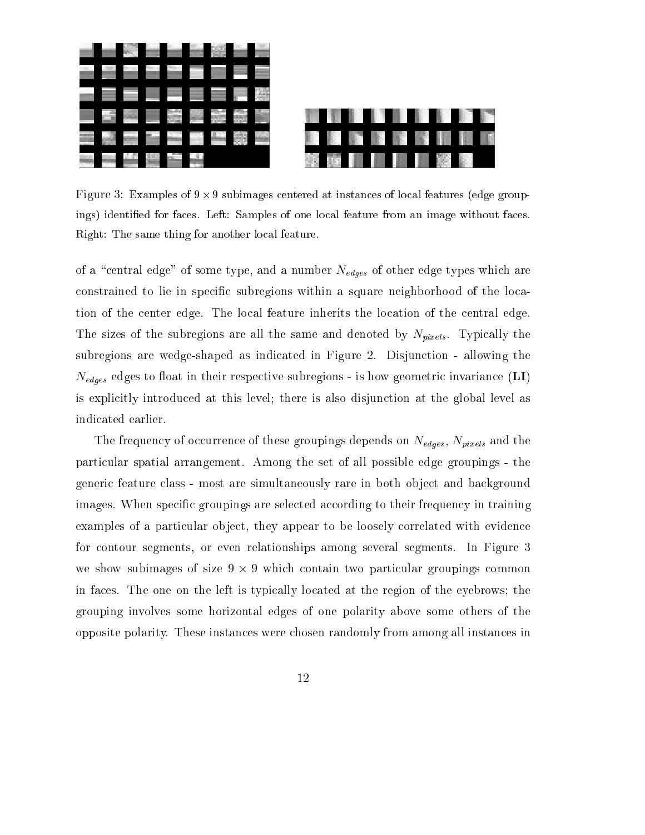

 $\mathbf{A}$  subsets of  $\mathbf{B}$  -features of local features of local features (edge groupings) identied for faces. Left: Samples of one local feature from an image without faces. Right: The same thing for another local feature.

of a number of some type, and a number  $\alpha$  number  $\alpha$  and a number  $\alpha$  type  $\alpha$ constrained to lie in specic subregions within a square neighborhood of the location of the center edge. The local feature inherits the location of the central edge. The sizes of the subregions are all the same and denoted by  $N_{pixels}$ . Typically the subregions are wedge-shaped as indicated in Figure 2. Disjunction - allowing the Nedges edges to oat in their respective subregions - is how geometric invariance (LI) is explicitly introduced at this level; there is also disjunction at the global level as indicated earlier.

The frequency of occurrence of these groupings depends on Nederlands on New Western Andrew Street the the particular spatial arrangement. Among the set of all possible edge groupings - the generic feature class - most are simultaneously rare in both object and background images. When specific groupings are selected according to their frequency in training examples of a particular object, they appear to be loosely correlated with evidence for contour segments, or even relationships among several segments. In Figure 3 we show subset  $\mathbb{R}^n$  -size 9  $\mathbb{R}^n$  -size 9  $\mathbb{R}^n$  -size 9  $\mathbb{R}^n$  -size 9  $\mathbb{R}^n$ in faces. The one on the left is typically located at the region of the eyebrows; the grouping involves some horizontal edges of one polarity above some others of the opposite polarity. These instances were chosen randomly from among all instances in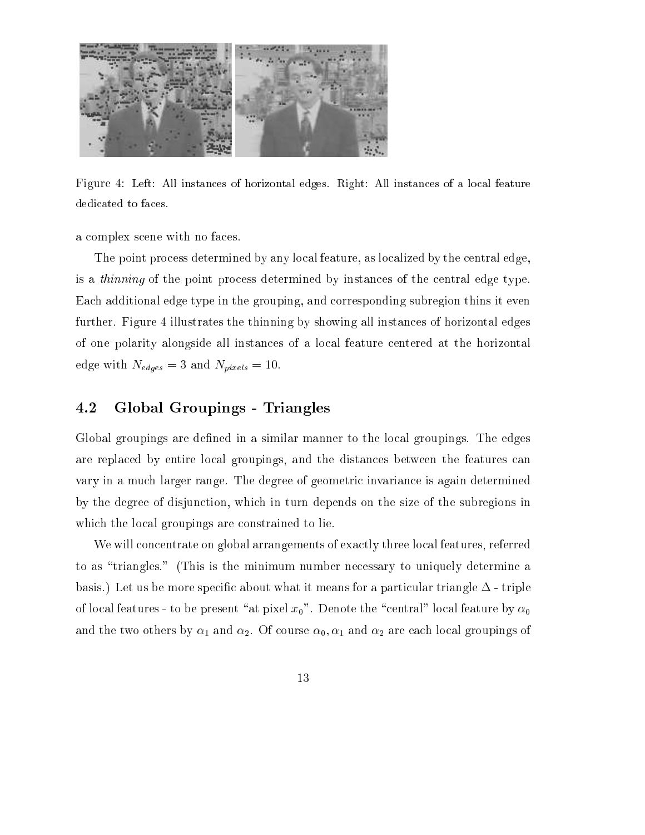

Figure 4: Left: All instances of horizontal edges. Right: All instances of a local feature dedicated to faces.

a complex scene with no faces.

The point process determined by any local feature, as localized by the central edge, is a thinning of the point process determined by instances of the central edge type. Each additional edge type in the grouping, and corresponding subregion thins it even further. Figure 4 illustrates the thinning by showing all instances of horizontal edges of one polarity alongside all instances of a local feature centered at the horizontal edge with the second with Nedges and Nedges and Nedges and Nedges and Nedges and Nedges and Nedges and Nedges

### 4.2 Global Groupings - Triangles

Global groupings are defined in a similar manner to the local groupings. The edges are replaced by entire local groupings, and the distances between the features can vary in a much larger range. The degree of geometric invariance is again determined by the degree of disjunction, which in turn depends on the size of the subregions in which the local groupings are constrained to lie.

We will concentrate on global arrangements of exactly three local features, referred to as "triangles." (This is the minimum number necessary to uniquely determine a basis.) Let us be more specific about what it means for a particular triangle  $\Delta$  - triple of local features - to be present "at pixel  $x_0$ ". Denote the "central" local feature by  $\alpha_0$ and the two others by  $\alpha_1$  and  $\alpha_2$ . Of course  $\alpha_0, \alpha_1$  and  $\alpha_2$  are each local groupings of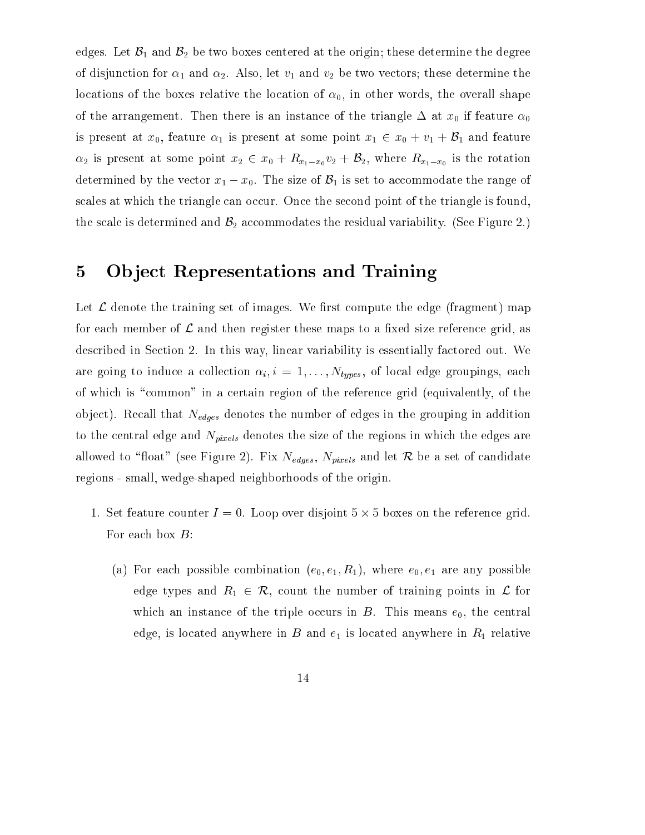edges. Let  $\mathcal{B}_1$  and  $\mathcal{B}_2$  be two boxes centered at the origin; these determine the degree of disjunction for  $\alpha_1$  and  $\alpha_2$ . Also, let  $v_1$  and  $v_2$  be two vectors; these determine the locations of the boxes relative the location of  $\alpha_0$ , in other words, the overall shape of the arrangement. Then there is an instance of the triangle  $\Delta$  at  $x_0$  if feature  $\alpha_0$ is present at  $x_0$ , feature  $\alpha_1$  is present at some point  $x_1 \in x_0 + v_1 + \mathcal{B}_1$  and feature is present at some point  $x_2 = x_0 + x_1x_0$  where  $x_1 \cdot x_2$  is the rotation  $x_1 \cdot x_0$  is the rotation determined by the vector  $x_1 - x_0$ . The size of  $\mathcal{B}_1$  is set to accommodate the range of scales at which the triangle can occur. Once the second point of the triangle is found, the scale is determined and  $\mathcal{B}_2$  accommodates the residual variability. (See Figure 2.)

### 5 Ob ject Representations and Training

Let  $\mathcal L$  denote the training set of images. We first compute the edge (fragment) map for each member of  $\mathcal L$  and then register these maps to a fixed size reference grid, as described in Section 2. In this way, linear variability is essentially factored out. We are going to induce a collection  $\alpha_i$ ,  $i = 1, \ldots, N_{types}$ , of local edge groupings, each of which is "common" in a certain region of the reference grid (equivalently, of the ob ject). Recall that Nedges denotes the number of edges in the grouping in addition to the central edge and  $\alpha$  the size of the size of the size of the size of the edges are given the edges are  $\alpha$  $\lambda$  and the community of  $\lambda$  figure 2). Figure 2 set of candidates and let  $\lambda$  be a set of candidates and let  $\lambda$ regions - small, wedge-shaped neighborhoods of the origin.

- 1. Set feature counter <sup>I</sup> = 0. Loop over disjoint 5 5 boxes on the reference grid. For each box  $B$ :
	- (a) For each possible combination  $(e_0, e_1, R_1)$ , where  $e_0, e_1$  are any possible edge types and  $R_1 \in \mathcal{R}$ , count the number of training points in  $\mathcal{L}$  for which an instance of the triple occurs in  $B$ . This means  $e_0$ , the central edge, is located anywhere in B and  $e_1$  is located anywhere in  $R_1$  relative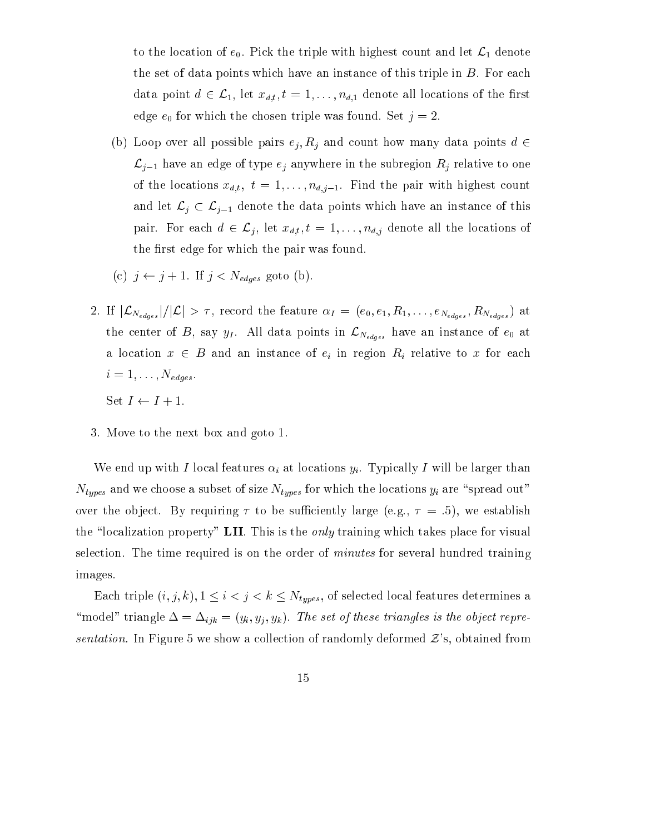to the location of  $e_0$ . Pick the triple with highest count and let  $\mathcal{L}_1$  denote the set of data points which have an instance of this triple in  $B$ . For each data point  $d \in \mathcal{L}_1$ , let  $x_{d,t}$ ,  $t = 1, \ldots, n_{d,1}$  denote all locations of the first edge  $e_0$  for which the chosen triple was found. Set  $j = 2$ .

- (b) Loop over all possible pairs ej ; Rj and count how many data points <sup>d</sup> <sup>2</sup>  $\mathcal{L}_{j-1}$  have an edge of type  $e_j$  anywhere in the subregion  $R_j$  relative to one of the locations  $\{t_i,t_i\}$  ; the pair  $\{t_i,t_{i+1}\}$  is  $\{t_i,t_{i+1}\}$  . Find the pair with  $\{t_i,t_{i+1}\}$ and let Lj  $\sim$  Lj  $\sim$  Lj  $\sim$  the data points which have an instance of this which have an instance of this pair. For each diagram diagram  $\{a_i\}_{i=1}^n$  , we define a location of the locations of  $\{a_i\}_{i=1}^n$ the first edge for which the pair was found.
- $\mathcal{L}^{\text{c}}$  j j j  $\mathcal{L}^{\text{c}}$  j  $\mathcal{L}^{\text{c}}$  ,  $\mathcal{L}^{\text{c}}$  ,  $\mathcal{L}^{\text{c}}$  ,  $\mathcal{L}^{\text{c}}$  ,  $\mathcal{L}^{\text{c}}$  ,  $\mathcal{L}^{\text{c}}$  ,  $\mathcal{L}^{\text{c}}$  ,  $\mathcal{L}^{\text{c}}$  ,  $\mathcal{L}^{\text{c}}$  ,  $\mathcal{L}^{\text{c}}$  ,  $\mathcal{L}^{\text{c}}$
- 2. If jLNedges j=jLj <sup>&</sup>gt; , record the feature <sup>I</sup> <sup>=</sup> (e0; e1; R1; : : : ; eNedges ; RNedges ) at the center of B, say  $\Gamma$  . All data points in LNedges have an instance of entries  $\Gamma$ a location  $\alpha$  and an instance of eigenvalues to  $\alpha$  and  $\alpha$  for each  $\alpha$  for each  $\alpha$  for each  $\alpha$  $i = 1, \ldots, N_{edges}$ 
	- Set  $I \leftarrow I + 1$ .
- 3. Move to the next box and goto 1.

We end up with I local features in the local features in the local features in the local features in the local features in the local features in the local features in the locations of the locations of the local features i  $\nu u \nu v$  and we choose a subset of size  $\mu u$  are  $\nu u \nu v$  are  $\nu u \nu v$  are  $\nu u \nu v$  are  $\nu u \nu v$  are  $\nu u \nu v$  and  $\nu u \nu v$  are  $\nu u \nu v$  and  $\nu u \nu v$  are  $\nu u \nu v$  and  $\nu u \nu v$  are  $\nu u \nu v$  and  $\nu u \nu v$  are  $\nu u \nu v$  and  $\n$ over the object. By requiring  $\tau$  to be sufficiently large (e.g.,  $\tau = .5$ ), we establish the "localization property" LII. This is the *only* training which takes place for visual selection. The time required is on the order of minutes for several hundred training images.

Each triple  $(i, j, k), 1 \leq i < j < k \leq N_{types}$ , of selected local features determines a  $\mathcal{I}(\mathcal{Y})$  triangles  $\mathcal{I}(\mathcal{Y})$  and  $\mathcal{I}(\mathcal{Y})$ . The object representation object representation object representation of the object representation of the object representation of the object representation of t sentation. In Figure 5 we show a collection of randomly deformed  $\mathcal{Z}$ 's, obtained from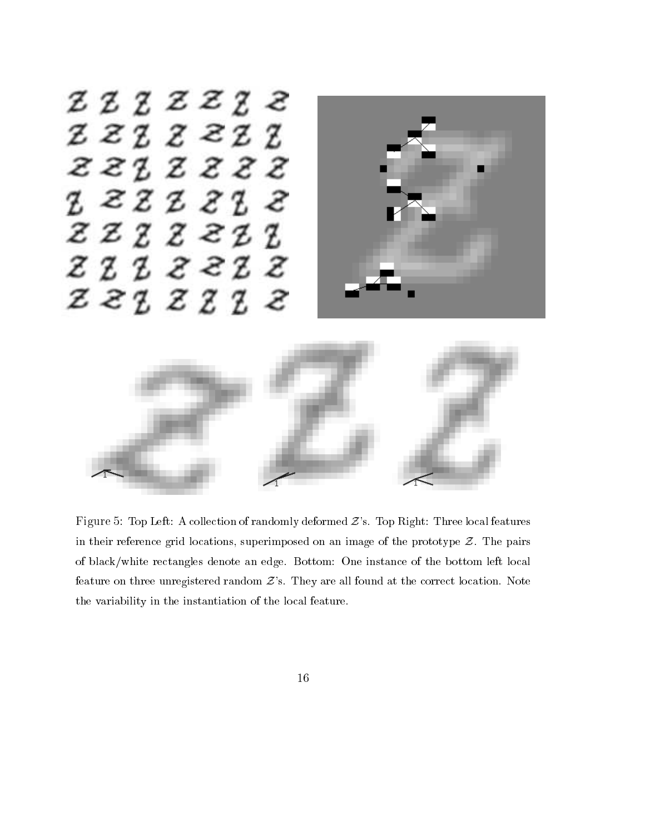

Figure 5: Top Left: A collection of randomly deformed  $Z$ 's. Top Right: Three local features in their reference grid locations, superimposed on an image of the prototype  $Z$ . The pairs of black/white rectangles denote an edge. Bottom: One instance of the bottom left local feature on three unregistered random  $\mathcal{Z}$ 's. They are all found at the correct location. Note the variability in the instantiation of the local feature.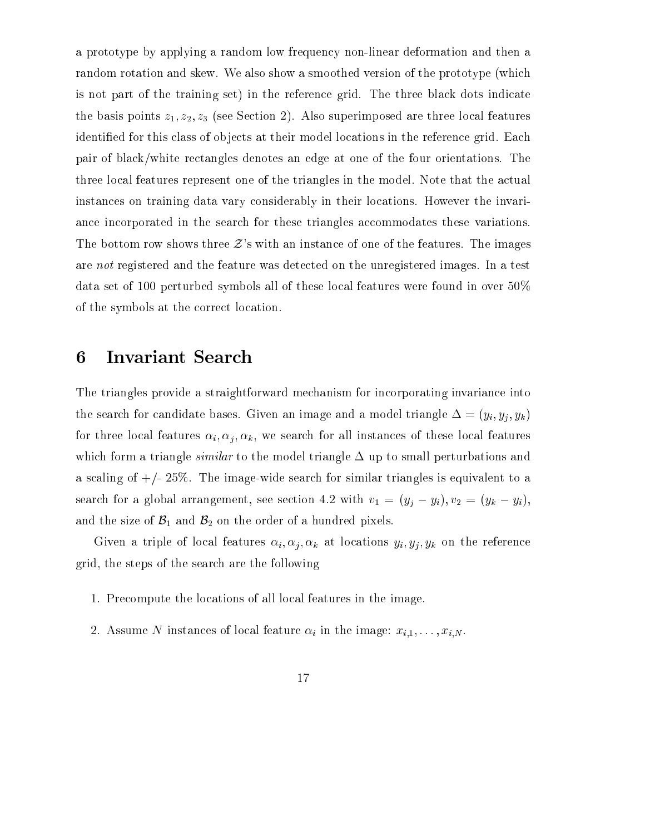a prototype by applying a random low frequency non-linear deformation and then a random rotation and skew. We also show a smoothed version of the prototype (which is not part of the training set) in the reference grid. The three black dots indicate the basis points  $z_1, z_2, z_3$  (see Section 2). Also superimposed are three local features identified for this class of objects at their model locations in the reference grid. Each pair of black/white rectangles denotes an edge at one of the four orientations. The three local features represent one of the triangles in the model. Note that the actual instances on training data vary considerably in their locations. However the invariance incorporated in the search for these triangles accommodates these variations. The bottom row shows three  $\mathcal{Z}$ 's with an instance of one of the features. The images are not registered and the feature was detected on the unregistered images. In a test data set of 100 perturbed symbols all of these local features were found in over 50% of the symbols at the correct location.

#### Invariant Search 6

The triangles provide a straightforward mechanism for incorporating invariance into the search for candidate bases. Given an image and a model triangle triangle  $\Box$  (yi; yi; yk) for the local features instances instances instances of these local features of these local features of these local features of the search features of the search features of the search features of the search features of t which form a triangle *similar* to the model triangle  $\Delta$  up to small perturbations and a scaling of  $\pm$ /- 25%. The image-wide search for similar triangles is equivalent to a search for a global arrangement, see section 4.2 with  $v_1 = (y_j - y_i), v_2 = (y_k - y_i)$ , and the size of  $\mathcal{B}_1$  and  $\mathcal{B}_2$  on the order of a hundred pixels.

Given a triple of local features i; i; yi; yi; yi; at locations yi; yi; yh, you are reference grid, the steps of the search are the following

- 1. Precompute the locations of all local features in the image.
- $2.7$  assume to the instance of local feature in the image  $\alpha$  in the image  $\alpha$  .  $\alpha$  is  $\alpha$  .  $\alpha$  ,  $\alpha$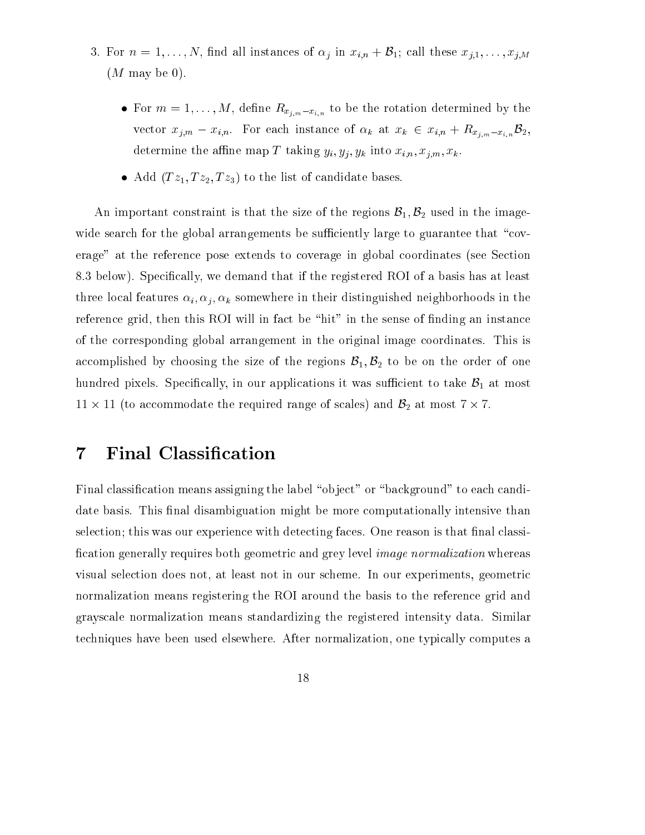- 3. For <sup>n</sup> = 1; : : : ; N ; nd all instances of j in xi;n <sup>+</sup> B1; call these xj;1; : : : ; xj;M  $(M \text{ may be } 0).$ 
	- For m  $\gamma$  ,  $\gamma$  is the rotation of  $\omega_{1,m}$  ,  $\omega_{1,n}$  , to be the rotation determined by the rotation determined by the rotation of  $\omega$ vector xj;m xi;n. For each instance of <sup>k</sup> at xk <sup>2</sup> xi;n <sup>+</sup> Rxj;mxi;nB2, determine the ane map  $\alpha$  ,  $\alpha$  is  $\alpha$  into  $\alpha$  into  $\alpha$  into  $\alpha$
	- Add  $(Tz_1, Tz_2, Tz_3)$  to the list of candidate bases.

An important constraint is that the size of the regions  $\mathcal{B}_1, \mathcal{B}_2$  used in the imagewide search for the global arrangements be sufficiently large to guarantee that "coverage" at the reference pose extends to coverage in global coordinates (see Section 8.3 below). Specifically, we demand that if the registered ROI of a basis has at least three local features in the internal features in the form internal membershed neighborhoods in the case in the reference grid, then this ROI will in fact be "hit" in the sense of finding an instance of the corresponding global arrangement in the original image coordinates. This is accomplished by choosing the size of the regions  $\mathcal{B}_1, \mathcal{B}_2$  to be on the order of one hundred pixels. Specifically, in our applications it was sufficient to take  $\mathcal{B}_1$  at most 11 - <sup>11</sup> (to accommodate the required range of scales) and B2 at most <sup>7</sup> - 7.

#### $\overline{7}$ Final Classification

Final classification means assigning the label "object" or "background" to each candidate basis. This final disambiguation might be more computationally intensive than selection; this was our experience with detecting faces. One reason is that final classification generally requires both geometric and grey level *image normalization* whereas visual selection does not, at least not in our scheme. In our experiments, geometric normalization means registering the ROI around the basis to the reference grid and grayscale normalization means standardizing the registered intensity data. Similar techniques have been used elsewhere. After normalization, one typically computes a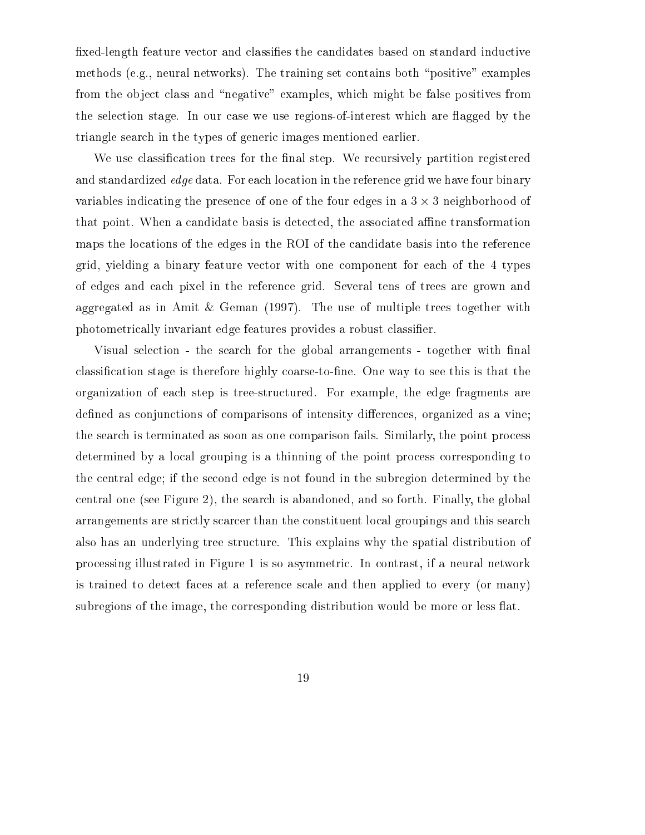xed-length feature vector and classies the candidates based on standard inductive methods (e.g., neural networks). The training set contains both "positive" examples from the object class and "negative" examples, which might be false positives from the selection stage. In our case we use regions-of-interest which are flagged by the triangle search in the types of generic images mentioned earlier.

We use classification trees for the final step. We recursively partition registered and standardized *edge* data. For each location in the reference grid we have four binary variables indicating the presence of one of the four edges in a 3 - 3 neighborhood of that point. When a candidate basis is detected, the associated affine transformation maps the locations of the edges in the ROI of the candidate basis into the reference grid, yielding a binary feature vector with one component for each of the 4 types of edges and each pixel in the reference grid. Several tens of trees are grown and aggregated as in Amit & Geman (1997). The use of multiple trees together with photometrically invariant edge features provides a robust classifier.

Visual selection - the search for the global arrangements - together with final classification stage is therefore highly coarse-to-fine. One way to see this is that the organization of each step is tree-structured. For example, the edge fragments are defined as conjunctions of comparisons of intensity differences, organized as a vine; the search is terminated as soon as one comparison fails. Similarly, the point process determined by a local grouping is a thinning of the point process corresponding to the central edge; if the second edge is not found in the subregion determined by the central one (see Figure 2), the search is abandoned, and so forth. Finally, the global arrangements are strictly scarcer than the constituent local groupings and this search also has an underlying tree structure. This explains why the spatial distribution of processing illustrated in Figure 1 is so asymmetric. In contrast, if a neural network is trained to detect faces at a reference scale and then applied to every (or many) subregions of the image, the corresponding distribution would be more or less flat.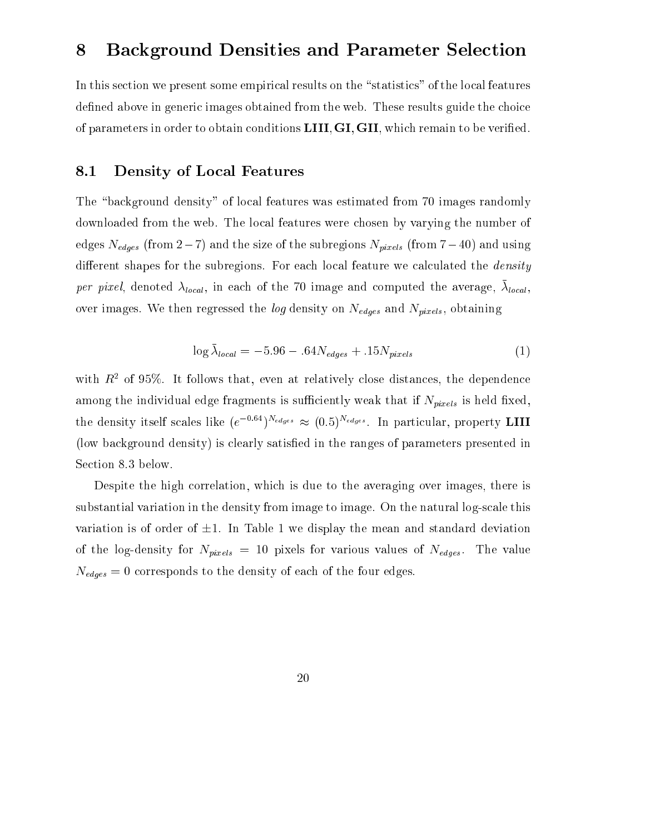# 8 Background Densities and Parameter Selection

In this section we present some empirical results on the "statistics" of the local features defined above in generic images obtained from the web. These results guide the choice of parameters in order to obtain conditions **LIII**, **GI**, **GII**, which remain to be verified.

#### 8.1 Density of Local Features

The "background density" of local features was estimated from 70 images randomly downloaded from the web. The local features were chosen by varying the number of edges Nedges (from <sup>2</sup>7) and the size of the subregions Npixels (from <sup>7</sup>40) and using different shapes for the subregions. For each local feature we calculated the *density per pixel*, denoted  $\lambda_{local}$ , in each of the 70 image and computed the average,  $\lambda_{local}$ , over images. We then regressed the log density on Nedges and Npixels, obtaining

$$
\log \bar{\lambda}_{local} = -5.96 - .64N_{edges} + .15N_{pixels} \tag{1}
$$

with  $R^2$  of 95%. It follows that, even at relatively close distances, the dependence among the individual edge fragments is such that if  $\mu_{\rm{u},0,0}$  is the individual  $\alpha$ the density itself scales like  $(e^{i\pi/2})^{new}$   $\approx$   $(0.5)^{new}$ . In particular, property LIII (low background density) is clearly satised in the ranges of parameters presented in Section 8.3 below.

Despite the high correlation, which is due to the averaging over images, there is substantial variation in the density from image to image. On the natural log-scale this variation is of order of  $\pm 1$ . In Table 1 we display the mean and standard deviation of the log-density for Npixels <sup>=</sup> <sup>10</sup> pixels for various values of Nedges. The value Nedges <sup>=</sup> <sup>0</sup> corresponds to the density of each of the four edges.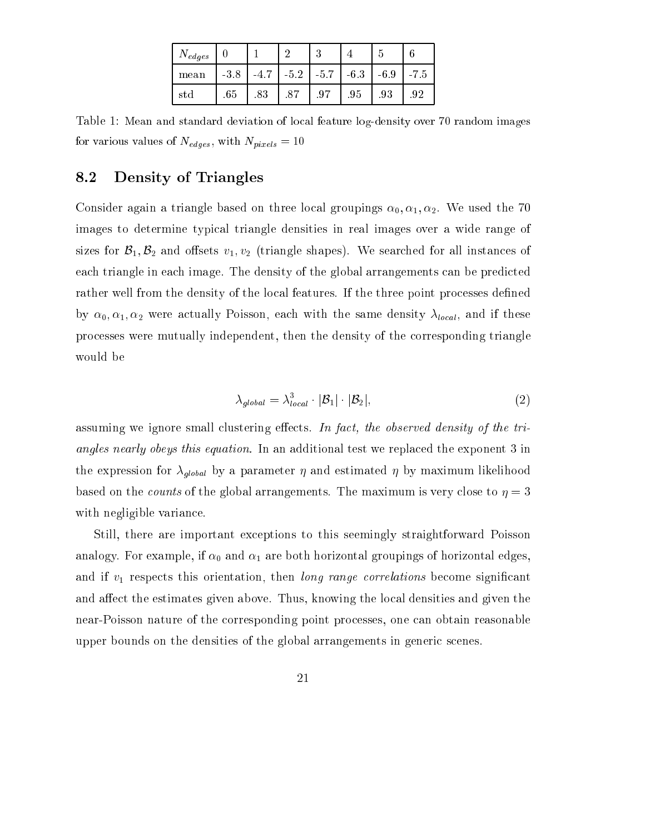| $N_{edges}$ |        |        |        | $\Omega$<br>÷ |         |         |      |
|-------------|--------|--------|--------|---------------|---------|---------|------|
| mean        | $-3.8$ | $-4.7$ | $-5.2$ | $-5.7$        | $-6.3$  | $-6.9$  | -7.5 |
| std         | .65    | .83    | .87    | .97           | $.95\,$ | $.93\,$ | .92  |

Table 1: Mean and standard deviation of local feature log-density over 70 random images for values with values of the Nedges, with Nedges, with Nedges, with Nedges, with Nedges, with Nedges, with Ne

#### 8.2 Density of Triangles

Consider again a triangle based on three local groupings  $\alpha_0, \alpha_1, \alpha_2$ . We used the 70 images to determine typical triangle densities in real images over a wide range of sizes for  $\mathcal{B}_1, \mathcal{B}_2$  and offsets  $v_1, v_2$  (triangle shapes). We searched for all instances of each triangle in each image. The density of the global arrangements can be predicted rather well from the density of the local features. If the three point processes defined by  $\alpha_0, \alpha_1, \alpha_2$  were actually Poisson, each with the same density  $\lambda_{local}$ , and if these processes were mutually independent, then the density of the corresponding triangle would be

$$
\lambda_{global} = \lambda_{local}^3 \cdot |\mathcal{B}_1| \cdot |\mathcal{B}_2|,\tag{2}
$$

assuming we ignore small clustering effects. In fact, the observed density of the triangles nearly obeys this equation. In an additional test we replaced the exponent 3 in the expression for global by a parameter  $q$  and estimated in the structure  $q$  and  $p$  maximum likelihood and  $\sigma$ based on the *counts* of the global arrangements. The maximum is very close to  $\eta = 3$ with negligible variance.

Still, there are important exceptions to this seemingly straightforward Poisson analogy. For example, if  $\alpha_0$  and  $\alpha_1$  are both horizontal groupings of horizontal edges, and if  $v_1$  respects this orientation, then *long range correlations* become significant and affect the estimates given above. Thus, knowing the local densities and given the near-Poisson nature of the corresponding point processes, one can obtain reasonable upper bounds on the densities of the global arrangements in generic scenes.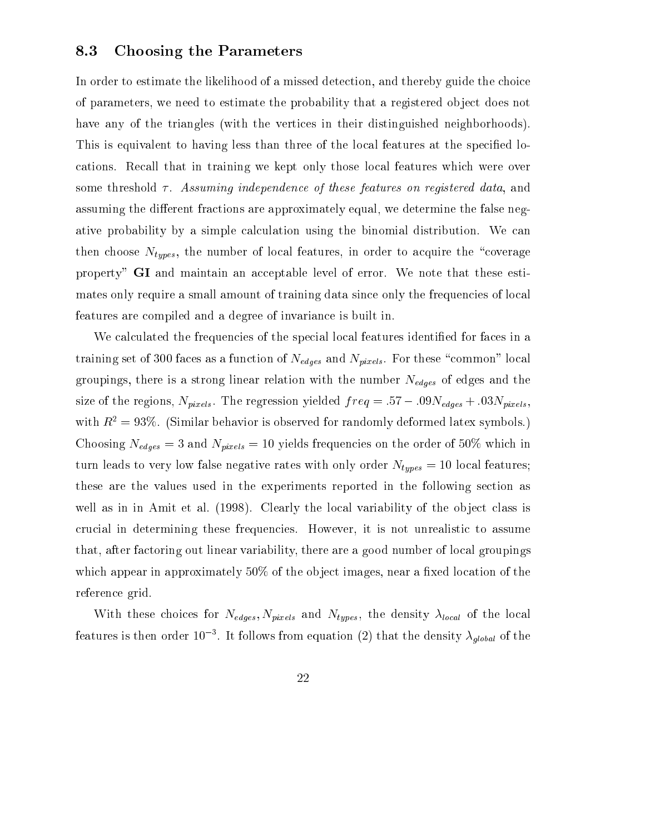#### 8.3 Choosing the Parameters

In order to estimate the likelihood of a missed detection, and thereby guide the choice of parameters, we need to estimate the probability that a registered ob ject does not have any of the triangles (with the vertices in their distinguished neighborhoods). This is equivalent to having less than three of the local features at the specified locations. Recall that in training we kept only those local features which were over some threshold  $\tau$ . Assuming independence of these features on registered data, and assuming the different fractions are approximately equal, we determine the false negative probability by a simple calculation using the binomial distribution. We can then choose  $N_{types}$ , the number of local features, in order to acquire the "coverage property" GI and maintain an acceptable level of error. We note that these estimates only require a small amount of training data since only the frequencies of local features are compiled and a degree of invariance is built in.

We calculated the frequencies of the special local features identified for faces in a training set of 300 faces as a function of the Nedges as a function of  $\mu_{\mu\nu}$  (Apply). For the set of the set group is a strong is a strong linear relation with the number  $\sim$  the strong of edges and the  $\sim$ size of the regions, Npixels. The regression yielded f req = :57 :09Nedges <sup>+</sup> :03Npixels, with  $R^2 = 93\%$ . (Similar behavior is observed for randomly deformed latex symbols.) Choosing Nedges <sup>=</sup> <sup>3</sup> and Npixels <sup>=</sup> <sup>10</sup> yields frequencies on the order of 50% which in turn leads to very low false negative rates with only order Ntypes <sup>=</sup> <sup>10</sup> local features; these are the values used in the experiments reported in the following section as well as in in Amit et al. (1998). Clearly the local variability of the object class is crucial in determining these frequencies. However, it is not unrealistic to assume that, after factoring out linear variability, there are a good number of local groupings which appear in approximately  $50\%$  of the object images, near a fixed location of the reference grid.

With these choices for the Nedges; Nedges; International of the density local of the local of the local of the reatures is then order 10  $\,$  . It follows from equation (2) that the density  $\lambda_{alobal}$  of the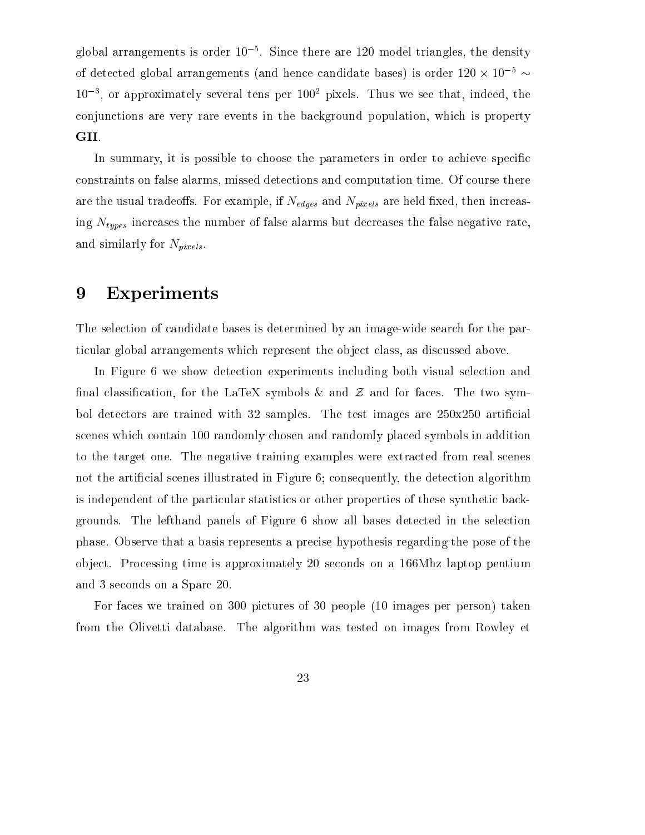global arrangements is order 10 °. Since there are 120 model triangles, the density of detected global arrangements (and hence candidate bases) is order  $120 \times 10^{-10}$ 103 , or approximately several tens per 100<sup>2</sup> pixels. Thus we see that, indeed, the conjunctions are very rare events in the background population, which is property GII.

In summary, it is possible to choose the parameters in order to achieve specific constraints on false alarms, missed detections and computation time. Of course there are the usual trade oscilation in the contrest plane in DINNES are the NPIXES are held are held the held and h ing Ntypes increases the number of false alarms but decreases the false negative rate, and similarly for  $N_{pixels}$ .

### 9 Experiments

The selection of candidate bases is determined by an image-wide search for the particular global arrangements which represent the ob ject class, as discussed above.

In Figure 6 we show detection experiments including both visual selection and final classification, for the LaTeX symbols  $\&$  and  $\&$  and for faces. The two symbol detectors are trained with 32 samples. The test images are  $250x250$  artificial scenes which contain 100 randomly chosen and randomly placed symbols in addition to the target one. The negative training examples were extracted from real scenes not the artificial scenes illustrated in Figure 6; consequently, the detection algorithm is independent of the particular statistics or other properties of these synthetic backgrounds. The lefthand panels of Figure 6 show all bases detected in the selection phase. Observe that a basis represents a precise hypothesis regarding the pose of the ob ject. Processing time is approximately 20 seconds on a 166Mhz laptop pentium and 3 seconds on a Sparc 20.

For faces we trained on 300 pictures of 30 people (10 images per person) taken from the Olivetti database. The algorithm was tested on images from Rowley et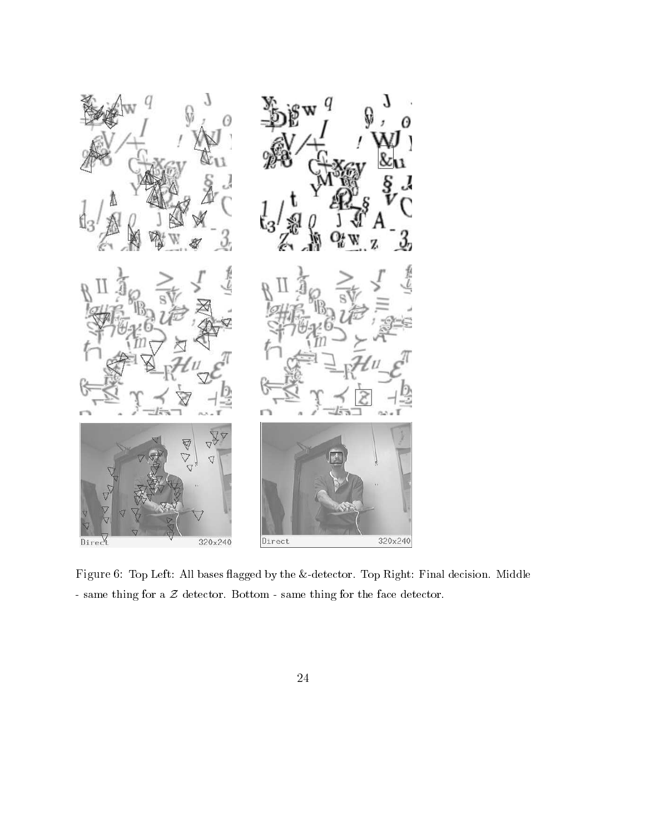

Figure 6: Top Left: All bases flagged by the &-detector. Top Right: Final decision. Middle - same thing for a  $\mathcal Z$  detector. Bottom - same thing for the face detector.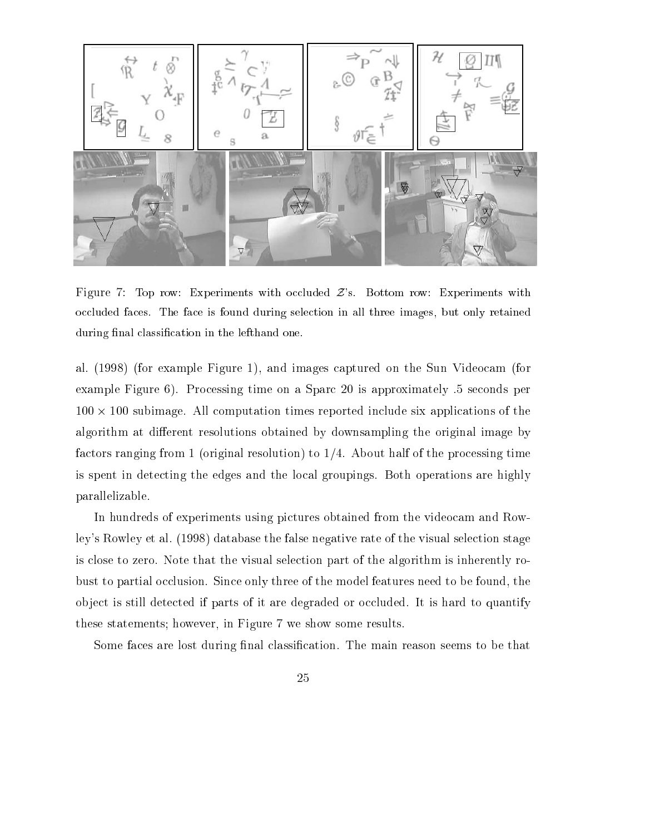

Figure 7: Top row: Experiments with occluded  $\mathcal{Z}$ 's. Bottom row: Experiments with occluded faces. The face is found during selection in all three images, but only retained during final classification in the lefthand one.

al. (1998) (for example Figure 1), and images captured on the Sun Videocam (for example Figure 6). Processing time on a Sparc 20 is approximately .5 seconds per 100 - 100 subimage. All computation times reported include six applications of the algorithm at different resolutions obtained by downsampling the original image by factors ranging from 1 (original resolution) to  $1/4$ . About half of the processing time is spent in detecting the edges and the local groupings. Both operations are highly parallelizable.

In hundreds of experiments using pictures obtained from the videocam and Rowley's Rowley et al. (1998) database the false negative rate of the visual selection stage is close to zero. Note that the visual selection part of the algorithm is inherently robust to partial occlusion. Since only three of the model features need to be found, the ob ject is still detected if parts of it are degraded or occluded. It is hard to quantify these statements; however, in Figure 7 we show some results.

Some faces are lost during final classification. The main reason seems to be that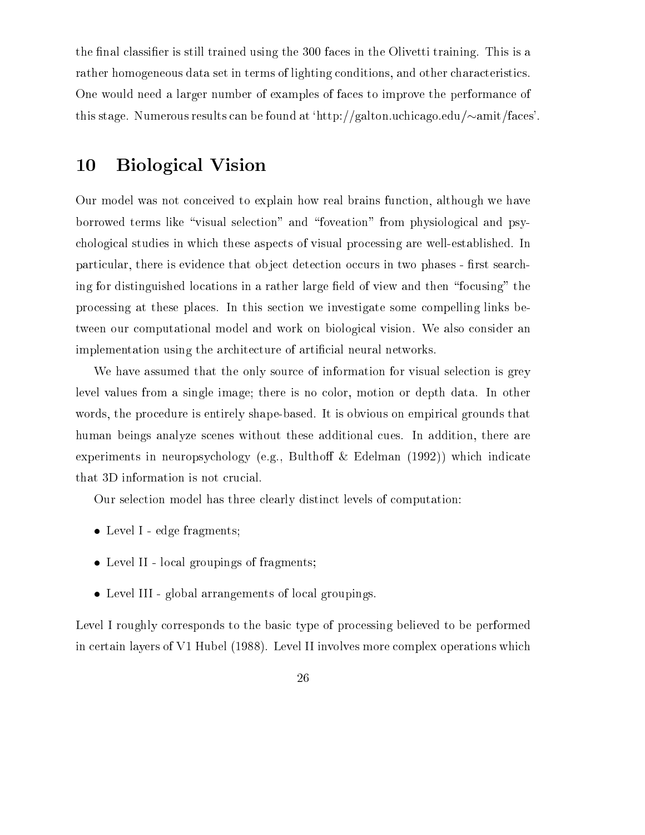the final classifier is still trained using the 300 faces in the Olivetti training. This is a rather homogeneous data set in terms of lighting conditions, and other characteristics. One would need a larger number of examples of faces to improve the performance of this stage. Numerous results can be found at 'http://galton.uchicago.edu/ $\sim$ amit/faces'.

### 10 Biological Vision

Our model was not conceived to explain how real brains function, although we have borrowed terms like "visual selection" and "foveation" from physiological and psychological studies in which these aspects of visual processing are well-established. In particular, there is evidence that object detection occurs in two phases - first searching for distinguished locations in a rather large field of view and then "focusing" the processing at these places. In this section we investigate some compelling links between our computational model and work on biological vision. We also consider an implementation using the architecture of artificial neural networks.

We have assumed that the only source of information for visual selection is grey level values from a single image; there is no color, motion or depth data. In other words, the procedure is entirely shape-based. It is obvious on empirical grounds that human beings analyze scenes without these additional cues. In addition, there are experiments in neuropsychology (e.g., Bulthoff  $&$  Edelman (1992)) which indicate that 3D information is not crucial.

Our selection model has three clearly distinct levels of computation:

- Level I edge fragments;
- Level II local groupings of fragments;
- Level III global arrangements of local groupings.

Level I roughly corresponds to the basic type of processing believed to be performed in certain layers of V1 Hubel (1988). Level II involves more complex operations which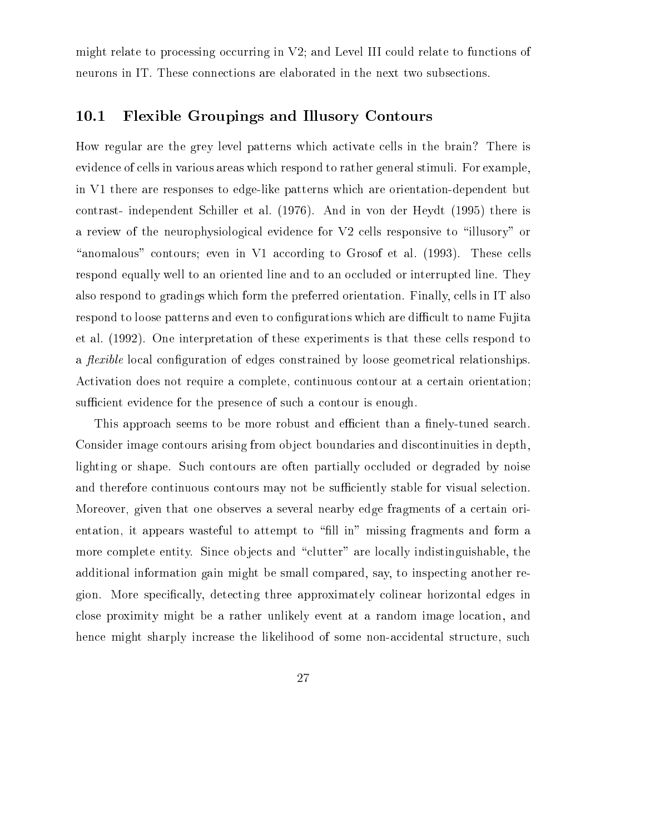might relate to processing occurring in V2; and Level III could relate to functions of neurons in IT. These connections are elaborated in the next two subsections.

### 10.1 Flexible Groupings and Illusory Contours

How regular are the grey level patterns which activate cells in the brain? There is evidence of cells in various areas which respond to rather general stimuli. For example, in V1 there are responses to edge-like patterns which are orientation-dependent but contrast- independent Schiller et al. (1976). And in von der Heydt (1995) there is a review of the neurophysiological evidence for V2 cells responsive to "illusory" or "anomalous" contours; even in V1 according to Grosof et al.  $(1993)$ . These cells respond equally well to an oriented line and to an occluded or interrupted line. They also respond to gradings which form the preferred orientation. Finally, cells in IT also respond to loose patterns and even to configurations which are difficult to name Fujita et al. (1992). One interpretation of these experiments is that these cells respond to a *flexible* local configuration of edges constrained by loose geometrical relationships. Activation does not require a complete, continuous contour at a certain orientation; sufficient evidence for the presence of such a contour is enough.

This approach seems to be more robust and efficient than a finely-tuned search. Consider image contours arising from ob ject boundaries and discontinuities in depth, lighting or shape. Such contours are often partially occluded or degraded by noise and therefore continuous contours may not be sufficiently stable for visual selection. Moreover, given that one observes a several nearby edge fragments of a certain orientation, it appears wasteful to attempt to \ll in" missing fragments and form a more complete entity. Since objects and "clutter" are locally indistinguishable, the additional information gain might be small compared, say, to inspecting another region. More specifically, detecting three approximately colinear horizontal edges in close proximity might be a rather unlikely event at a random image location, and hence might sharply increase the likelihood of some non-accidental structure, such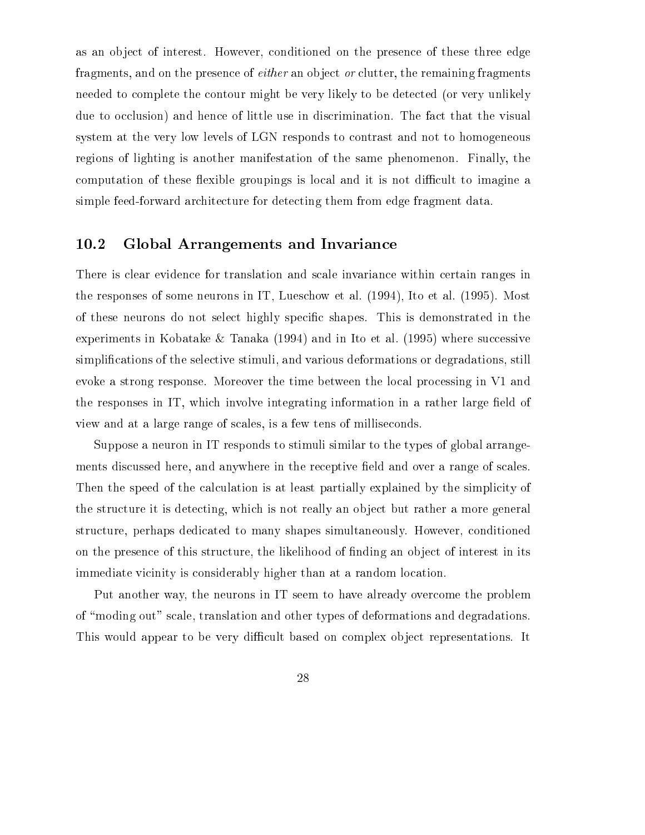as an object of interest. However, conditioned on the presence of these three edge fragments, and on the presence of *either* an object *or* clutter, the remaining fragments needed to complete the contour might be very likely to be detected (or very unlikely due to occlusion) and hence of little use in discrimination. The fact that the visual system at the very low levels of LGN responds to contrast and not to homogeneous regions of lighting is another manifestation of the same phenomenon. Finally, the computation of these flexible groupings is local and it is not difficult to imagine a simple feed-forward architecture for detecting them from edge fragment data.

#### 10.2 Global Arrangements and Invariance

There is clear evidence for translation and scale invariance within certain ranges in the responses of some neurons in IT, Lueschow et al. (1994), Ito et al. (1995). Most of these neurons do not select highly specic shapes. This is demonstrated in the experiments in Kobatake & Tanaka (1994) and in Ito et al. (1995) where successive simplications of the selective stimuli, and various deformations or degradations, still evoke a strong response. Moreover the time between the local processing in V1 and the responses in  $IT$ , which involve integrating information in a rather large field of view and at a large range of scales, is a few tens of milliseconds.

Suppose a neuron in IT responds to stimuli similar to the types of global arrangements discussed here, and anywhere in the receptive field and over a range of scales. Then the speed of the calculation is at least partially explained by the simplicity of the structure it is detecting, which is not really an object but rather a more general structure, perhaps dedicated to many shapes simultaneously. However, conditioned on the presence of this structure, the likelihood of finding an object of interest in its immediate vicinity is considerably higher than at a random location.

Put another way, the neurons in IT seem to have already overcome the problem of \moding out" scale, translation and other types of deformations and degradations. This would appear to be very difficult based on complex object representations. It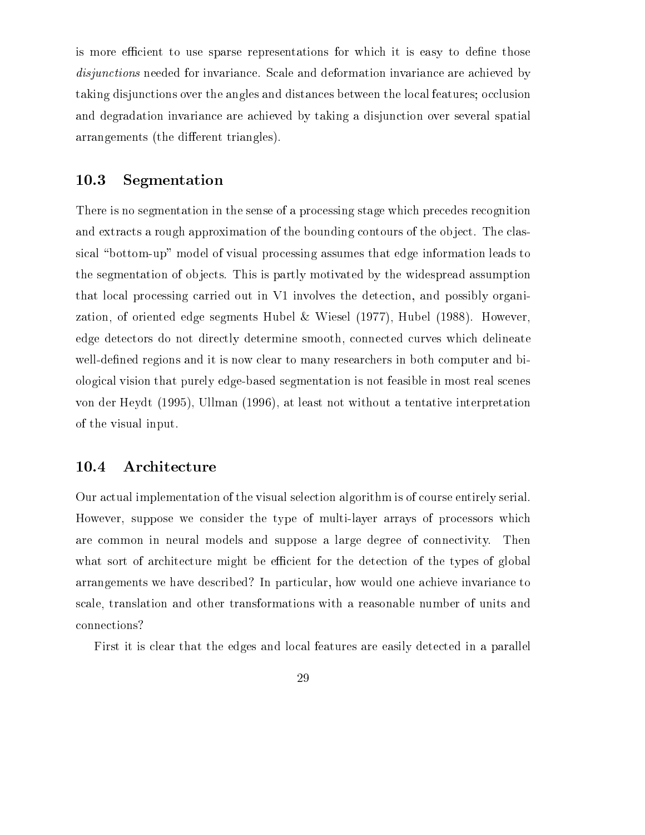is more efficient to use sparse representations for which it is easy to define those disjunctions needed for invariance. Scale and deformation invariance are achieved by taking disjunctions over the angles and distances between the local features; occlusion and degradation invariance are achieved by taking a disjunction over several spatial arrangements (the different triangles).

#### 10.3 Segmentation

There is no segmentation in the sense of a processing stage which precedes recognition and extracts a rough approximation of the bounding contours of the object. The classical "bottom-up" model of visual processing assumes that edge information leads to the segmentation of objects. This is partly motivated by the widespread assumption that local processing carried out in V1 involves the detection, and possibly organization, of oriented edge segments Hubel & Wiesel (1977), Hubel (1988). However, edge detectors do not directly determine smooth, connected curves which delineate well-defined regions and it is now clear to many researchers in both computer and biological vision that purely edge-based segmentation is not feasible in most real scenes von der Heydt (1995), Ullman (1996), at least not without a tentative interpretation of the visual input.

#### 10.4 Architecture

Our actual implementation of the visual selection algorithm is of course entirely serial. However, suppose we consider the type of multi-layer arrays of processors which are common in neural models and suppose a large degree of connectivity. Then what sort of architecture might be efficient for the detection of the types of global arrangements we have described? In particular, how would one achieve invariance to scale, translation and other transformations with a reasonable number of units and connections?

First it is clear that the edges and local features are easily detected in a parallel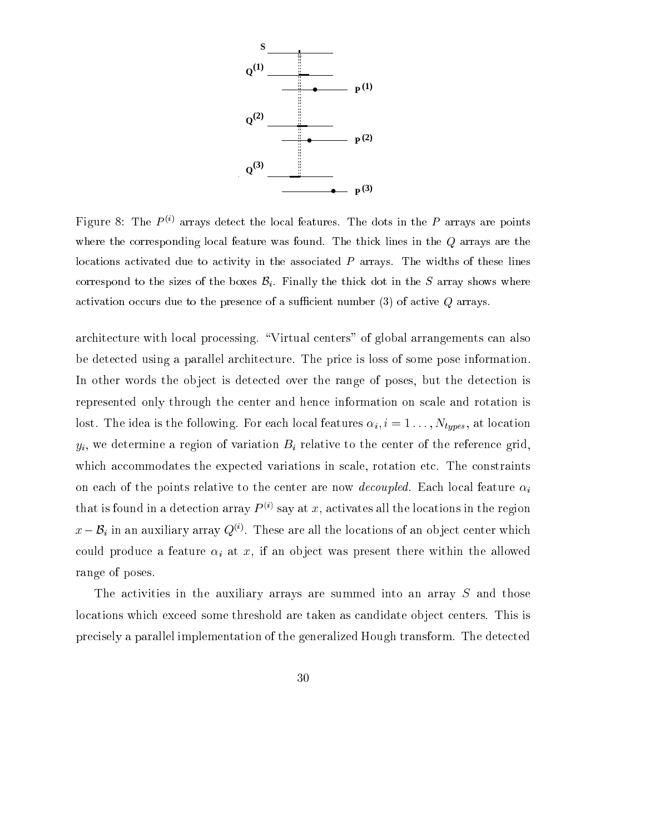

Figure 8: The  $P \vee i$  arrays detect the local features. The dots in the P arrays are points where the corresponding local feature was found. The thick lines in the Q arrays are the locations activated due to activity in the associated  $P$  arrays. The widths of these lines correspond to the sizes of the boxes  $\mathcal{B}_i$ . Finally the thick dot in the S array shows where activation occurs due to the presence of a sufficient number  $(3)$  of active  $Q$  arrays.

architecture with local processing. "Virtual centers" of global arrangements can also be detected using a parallel architecture. The price is loss of some pose information. In other words the object is detected over the range of poses, but the detection is represented only through the center and hence information on scale and rotation is lost. The idea is the following. For each local features i ; <sup>i</sup> <sup>=</sup> <sup>1</sup> : : : ; Ntypes, at location  $y_i$ , we determine a region of variation Bi relative to the center of the reference grid,  $\alpha$ which accommodates the expected variations in scale, rotation etc. The constraints on each of the points relative to the center are now *decoupled*. Each local feature  $\alpha_i$ that is found in a detection array  $P \cong \text{say}$  at  $x$ , activates all the locations in the region  $x-\mathcal{D}_i$  in an auxiliary array  $\mathcal{Q}^{(s)}$ . These are all the locations of an object center which could produce a feature if an object was present the present there with the allowed the allowed the all range of poses.

The activities in the auxiliary arrays are summed into an array S and those locations which exceed some threshold are taken as candidate object centers. This is precisely a parallel implementation of the generalized Hough transform. The detected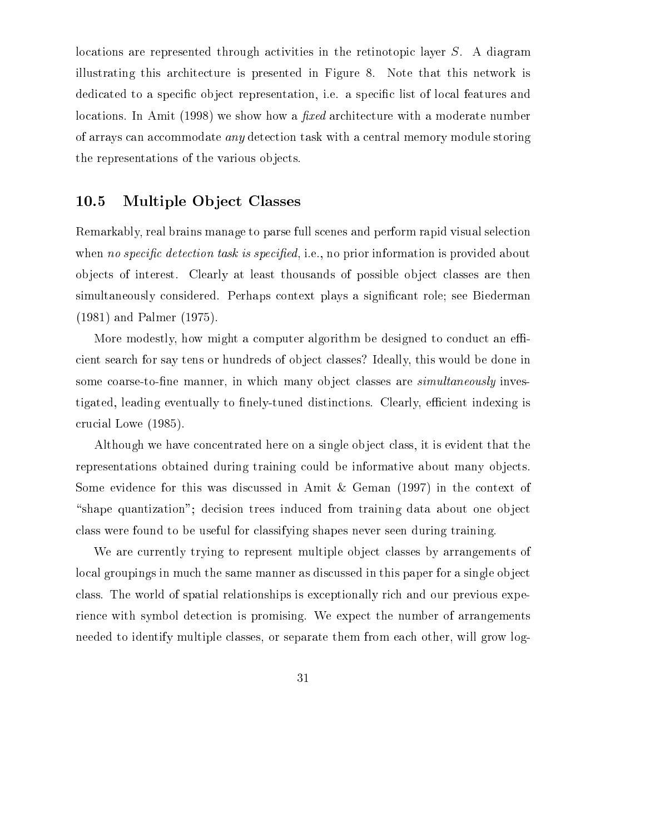locations are represented through activities in the retinotopic layer S. A diagram illustrating this architecture is presented in Figure 8. Note that this network is dedicated to a specific object representation, i.e. a specific list of local features and locations. In Amit (1998) we show how a *fixed* architecture with a moderate number of arrays can accommodate any detection task with a central memory module storing the representations of the various ob jects.

#### 10.5 Multiple Object Classes

Remarkably, real brains manage to parse full scenes and perform rapid visual selection when no specific detection task is specified, i.e., no prior information is provided about objects of interest. Clearly at least thousands of possible object classes are then simultaneously considered. Perhaps context plays a significant role; see Biederman (1981) and Palmer (1975).

More modestly, how might a computer algorithm be designed to conduct an efficient search for say tens or hundreds of object classes? Ideally, this would be done in some coarse-to-fine manner, in which many object classes are *simultaneously* investigated, leading eventually to finely-tuned distinctions. Clearly, efficient indexing is crucial Lowe (1985).

Although we have concentrated here on a single ob ject class, it is evident that the representations obtained during training could be informative about many objects. Some evidence for this was discussed in Amit & Geman (1997) in the context of "shape quantization"; decision trees induced from training data about one object class were found to be useful for classifying shapes never seen during training.

We are currently trying to represent multiple object classes by arrangements of local groupings in much the same manner as discussed in this paper for a single object class. The world of spatial relationships is exceptionally rich and our previous experience with symbol detection is promising. We expect the number of arrangements needed to identify multiple classes, or separate them from each other, will grow log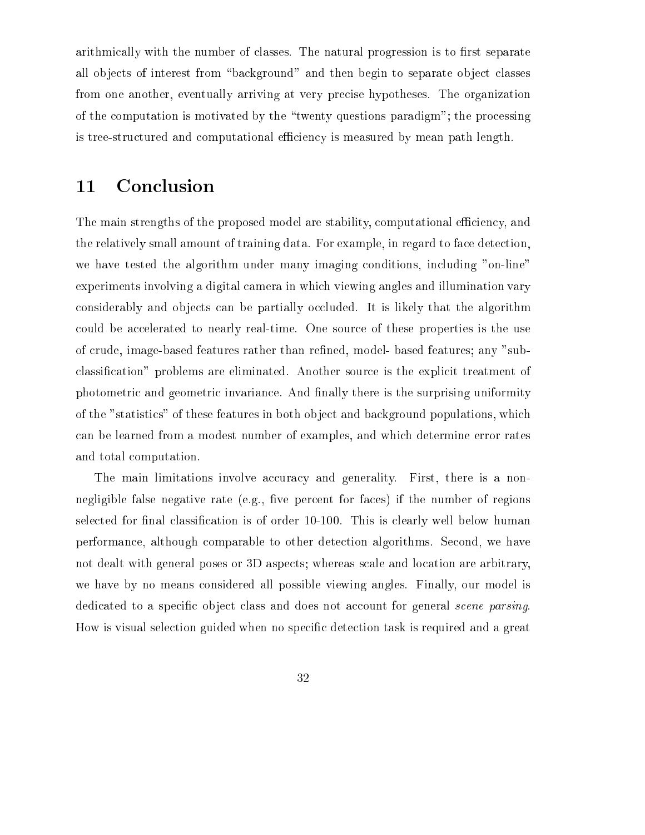arithmically with the number of classes. The natural progression is to first separate all objects of interest from "background" and then begin to separate object classes from one another, eventually arriving at very precise hypotheses. The organization of the computation is motivated by the \twenty questions paradigm"; the processing is tree-structured and computational efficiency is measured by mean path length.

### 11 Conclusion

The main strengths of the proposed model are stability, computational efficiency, and the relatively small amount of training data. For example, in regard to face detection, we have tested the algorithm under many imaging conditions, including "on-line" experiments involving a digital camera in which viewing angles and illumination vary considerably and objects can be partially occluded. It is likely that the algorithm could be accelerated to nearly real-time. One source of these properties is the use of crude, image-based features rather than refined, model- based features; any "subclassication" problems are eliminated. Another source is the explicit treatment of photometric and geometric invariance. And finally there is the surprising uniformity of the "statistics" of these features in both object and background populations, which can be learned from a modest number of examples, and which determine error rates and total computation.

The main limitations involve accuracy and generality. First, there is a nonnegligible false negative rate (e.g., five percent for faces) if the number of regions selected for final classification is of order 10-100. This is clearly well below human performance, although comparable to other detection algorithms. Second, we have not dealt with general poses or 3D aspects; whereas scale and location are arbitrary, we have by no means considered all possible viewing angles. Finally, our model is dedicated to a specific object class and does not account for general *scene parsing*. How is visual selection guided when no specic detection task is required and a great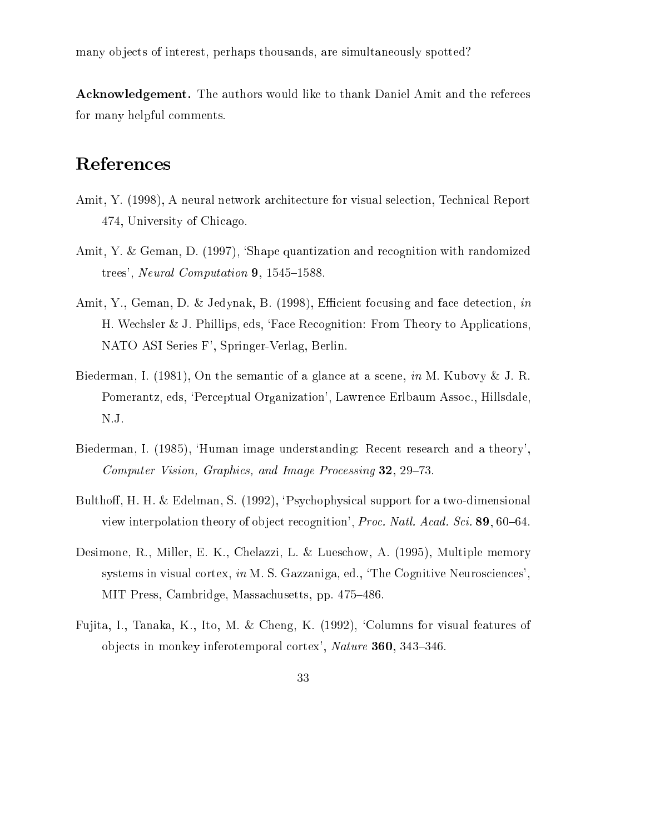many objects of interest, perhaps thousands, are simultaneously spotted?

Acknowledgement. The authors would like to thank Daniel Amit and the referees for many helpful comments.

# References

- Amit, Y. (1998), A neural network architecture for visual selection, Technical Report 474, University of Chicago.
- Amit, Y. & Geman, D. (1997), 'Shape quantization and recognition with randomized trees', Neural Computation  $9, 1545{\text -}1588$ .
- Amit, Y., Geman, D. & Jedynak, B. (1998), Efficient focusing and face detection, in H. Wechsler & J. Phillips, eds, `Face Recognition: From Theory to Applications, NATO ASI Series F', Springer-Verlag, Berlin.
- Biederman, I. (1981), On the semantic of a glance at a scene, in M. Kubovy & J. R. Pomerantz, eds, `Perceptual Organization', Lawrence Erlbaum Assoc., Hillsdale, N.J.
- Biederman, I. (1985), `Human image understanding: Recent research and a theory', Computer Vision, Graphics, and Image Processing  $32$ ,  $29-73$ .
- Bulthoff, H. H. & Edelman, S. (1992), 'Psychophysical support for a two-dimensional view interpolation theory of object recognition', Proc. Natl. Acad. Sci. 89, 60-64.
- Desimone, R., Miller, E. K., Chelazzi, L. & Lueschow, A. (1995), Multiple memory systems in visual cortex, in M. S. Gazzaniga, ed., 'The Cognitive Neurosciences', MIT Press, Cambridge, Massachusetts, pp. 475–486.
- Fujita, I., Tanaka, K., Ito, M. & Cheng, K. (1992), `Columns for visual features of objects in monkey inferotemporal cortex',  $\textit{ Nature } 360, 343-346.$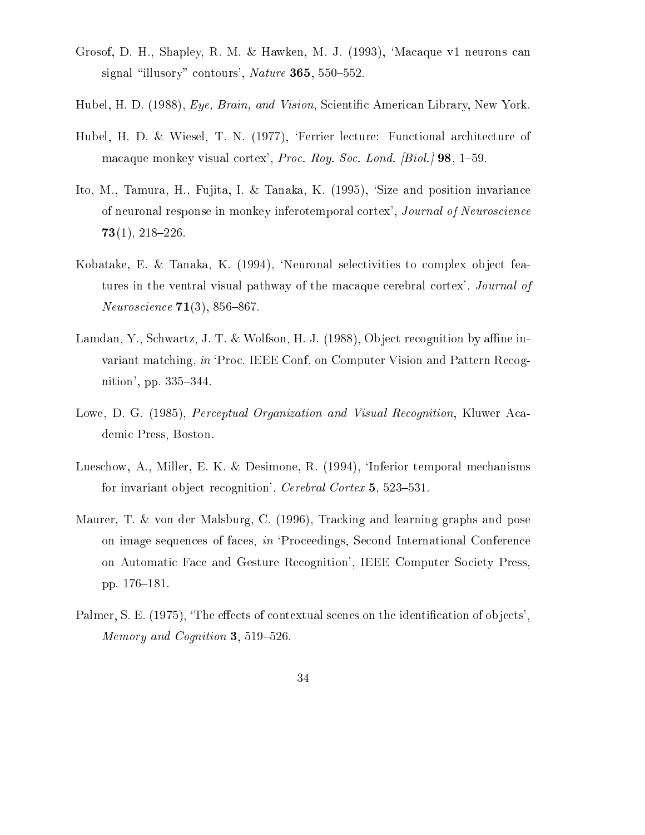- Grosof, D. H., Shapley, R. M. & Hawken, M. J. (1993), `Macaque v1 neurons can signal "illusory" contours', Nature 365, 550-552.
- Hubel, H. D. (1988), Eye, Brain, and Vision, Scientic American Library, New York.
- Hubel, H. D. & Wiesel, T. N. (1977), 'Ferrier lecture: Functional architecture of macaque monkey visual cortex', Proc. Roy. Soc. Lond.  $\left[ Biol. \right]$  98, 1-59.
- Ito, M., Tamura, H., Fujita, I. & Tanaka, K. (1995), `Size and position invariance of neuronal response in monkey inferotemporal cortex', Journal of Neuroscience  $73(1), 218-226.$
- Kobatake, E. & Tanaka, K. (1994), 'Neuronal selectivities to complex object features in the ventral visual pathway of the macaque cerebral cortex', Journal of *Neuroscience*  $71(3)$ , 856-867.
- Lamdan, Y., Schwartz, J. T. & Wolfson, H. J. (1988), Object recognition by affine invariant matching, in 'Proc. IEEE Conf. on Computer Vision and Pattern Recognition', pp. 335-344.
- Lowe, D. G. (1985), *Perceptual Organization and Visual Recognition*, Kluwer Academic Press, Boston.
- Lueschow, A., Miller, E. K. & Desimone, R. (1994), 'Inferior temporal mechanisms for invariant object recognition', Cerebral Cortex  $5, 523-531$ .
- Maurer, T. & von der Malsburg, C. (1996), Tracking and learning graphs and pose on image sequences of faces, in `Proceedings, Second International Conference on Automatic Face and Gesture Recognition', IEEE Computer Society Press, pp. 176-181.
- Palmer, S. E. (1975), 'The effects of contextual scenes on the identification of objects'. Memory and Cognition 3, 519-526.